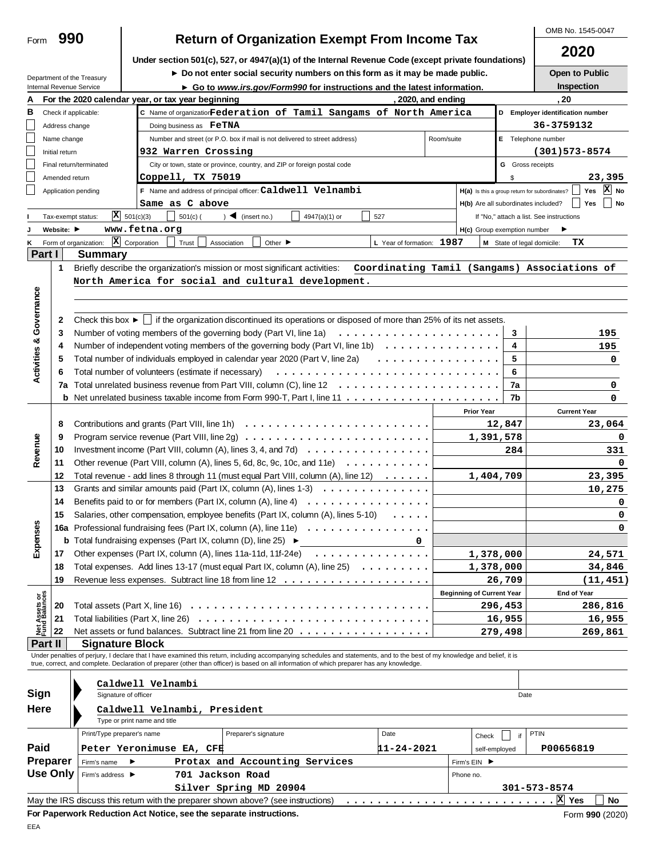|                                                                                                                                                                                                                                     | 990                |                                                                                                                                                                                                                                     |                          |  |                         |  |                     |                        |                                                                            | <b>Return of Organization Exempt From Income Tax</b>                                                                                                                       |            |                    |                                     |         | OMB No. 1545-0047                                            |
|-------------------------------------------------------------------------------------------------------------------------------------------------------------------------------------------------------------------------------------|--------------------|-------------------------------------------------------------------------------------------------------------------------------------------------------------------------------------------------------------------------------------|--------------------------|--|-------------------------|--|---------------------|------------------------|----------------------------------------------------------------------------|----------------------------------------------------------------------------------------------------------------------------------------------------------------------------|------------|--------------------|-------------------------------------|---------|--------------------------------------------------------------|
| Form                                                                                                                                                                                                                                |                    |                                                                                                                                                                                                                                     |                          |  |                         |  |                     |                        |                                                                            |                                                                                                                                                                            |            |                    |                                     |         | 2020                                                         |
|                                                                                                                                                                                                                                     |                    |                                                                                                                                                                                                                                     |                          |  |                         |  |                     |                        |                                                                            | Under section 501(c), 527, or 4947(a)(1) of the Internal Revenue Code (except private foundations)                                                                         |            |                    |                                     |         |                                                              |
|                                                                                                                                                                                                                                     |                    | Department of the Treasury                                                                                                                                                                                                          |                          |  |                         |  |                     |                        |                                                                            | Do not enter social security numbers on this form as it may be made public.                                                                                                |            |                    |                                     |         | <b>Open to Public</b>                                        |
|                                                                                                                                                                                                                                     |                    | Internal Revenue Service                                                                                                                                                                                                            |                          |  |                         |  |                     |                        |                                                                            | ► Go to www.irs.gov/Form990 for instructions and the latest information.                                                                                                   |            |                    |                                     |         | Inspection                                                   |
| A                                                                                                                                                                                                                                   |                    | For the 2020 calendar year, or tax year beginning                                                                                                                                                                                   |                          |  |                         |  |                     |                        |                                                                            |                                                                                                                                                                            |            | , 2020, and ending |                                     |         | , 20                                                         |
| в                                                                                                                                                                                                                                   |                    | Check if applicable:                                                                                                                                                                                                                |                          |  |                         |  |                     |                        |                                                                            | C Name of organization Federation of Tamil Sangams of North America                                                                                                        |            |                    |                                     |         | D Employer identification number                             |
|                                                                                                                                                                                                                                     | Address change     |                                                                                                                                                                                                                                     |                          |  | Doing business as FeTNA |  |                     |                        |                                                                            |                                                                                                                                                                            |            |                    |                                     |         | 36-3759132                                                   |
|                                                                                                                                                                                                                                     | Name change        |                                                                                                                                                                                                                                     |                          |  |                         |  |                     |                        | Number and street (or P.O. box if mail is not delivered to street address) |                                                                                                                                                                            |            | Room/suite         |                                     |         | E Telephone number                                           |
|                                                                                                                                                                                                                                     | Initial return     |                                                                                                                                                                                                                                     |                          |  |                         |  | 932 Warren Crossing |                        |                                                                            |                                                                                                                                                                            |            |                    |                                     |         | $(301)573 - 8574$                                            |
|                                                                                                                                                                                                                                     |                    | Final return/terminated                                                                                                                                                                                                             |                          |  |                         |  |                     |                        | City or town, state or province, country, and ZIP or foreign postal code   |                                                                                                                                                                            |            |                    |                                     |         | <b>G</b> Gross receipts                                      |
|                                                                                                                                                                                                                                     | Amended return     |                                                                                                                                                                                                                                     |                          |  |                         |  | Coppell, TX 75019   |                        |                                                                            |                                                                                                                                                                            |            |                    |                                     | \$      | 23,395                                                       |
|                                                                                                                                                                                                                                     |                    | Application pending                                                                                                                                                                                                                 |                          |  |                         |  |                     |                        | F Name and address of principal officer: Caldwell Velnambi                 |                                                                                                                                                                            |            |                    |                                     |         | X No<br>H(a) Is this a group return for subordinates?<br>Yes |
|                                                                                                                                                                                                                                     |                    |                                                                                                                                                                                                                                     | $\overline{X}$ 501(c)(3) |  | Same as C above         |  |                     |                        |                                                                            |                                                                                                                                                                            |            |                    | H(b) Are all subordinates included? |         | No<br>Yes                                                    |
|                                                                                                                                                                                                                                     | Tax-exempt status: |                                                                                                                                                                                                                                     |                          |  | $501(c)$ (              |  |                     | $)$ (insert no.)       | 4947(a)(1) or                                                              |                                                                                                                                                                            | 527        |                    |                                     |         | If "No," attach a list. See instructions<br>▶                |
| www.fetna.org<br>Website: ▶<br>H(c) Group exemption number<br>$\overline{\mathbf{x}}$ Corporation<br>Form of organization:<br>Other $\blacktriangleright$<br>Association<br>L Year of formation: 1987<br>M State of legal domicile: |                    |                                                                                                                                                                                                                                     |                          |  |                         |  |                     |                        |                                                                            |                                                                                                                                                                            |            | ТX                 |                                     |         |                                                              |
| κ<br>Part I                                                                                                                                                                                                                         |                    | <b>Summary</b>                                                                                                                                                                                                                      |                          |  | Trust                   |  |                     |                        |                                                                            |                                                                                                                                                                            |            |                    |                                     |         |                                                              |
|                                                                                                                                                                                                                                     | $\mathbf{1}$       | Briefly describe the organization's mission or most significant activities:                                                                                                                                                         |                          |  |                         |  |                     |                        |                                                                            |                                                                                                                                                                            |            |                    |                                     |         | Coordinating Tamil (Sangams) Associations of                 |
|                                                                                                                                                                                                                                     |                    | North America for social and cultural development.                                                                                                                                                                                  |                          |  |                         |  |                     |                        |                                                                            |                                                                                                                                                                            |            |                    |                                     |         |                                                              |
|                                                                                                                                                                                                                                     |                    |                                                                                                                                                                                                                                     |                          |  |                         |  |                     |                        |                                                                            |                                                                                                                                                                            |            |                    |                                     |         |                                                              |
|                                                                                                                                                                                                                                     |                    |                                                                                                                                                                                                                                     |                          |  |                         |  |                     |                        |                                                                            |                                                                                                                                                                            |            |                    |                                     |         |                                                              |
| Activities & Governance                                                                                                                                                                                                             | $\mathbf{2}$       |                                                                                                                                                                                                                                     |                          |  |                         |  |                     |                        |                                                                            | Check this box $\blacktriangleright$   if the organization discontinued its operations or disposed of more than 25% of its net assets.                                     |            |                    |                                     |         |                                                              |
|                                                                                                                                                                                                                                     | 3                  | Number of voting members of the governing body (Part VI, line 1a)                                                                                                                                                                   |                          |  |                         |  |                     |                        |                                                                            |                                                                                                                                                                            |            |                    |                                     | 3       | 195                                                          |
|                                                                                                                                                                                                                                     | 4                  |                                                                                                                                                                                                                                     |                          |  |                         |  |                     |                        |                                                                            | Number of independent voting members of the governing body (Part VI, line 1b) $\ldots \ldots \ldots \ldots$                                                                |            |                    |                                     | 4       | 195                                                          |
|                                                                                                                                                                                                                                     | 5                  |                                                                                                                                                                                                                                     |                          |  |                         |  |                     |                        |                                                                            | Total number of individuals employed in calendar year 2020 (Part V, line 2a)                                                                                               | .          |                    |                                     | 5       | 0                                                            |
|                                                                                                                                                                                                                                     | 6                  | Total number of volunteers (estimate if necessary)                                                                                                                                                                                  |                          |  |                         |  |                     |                        |                                                                            |                                                                                                                                                                            |            |                    |                                     | 6       |                                                              |
|                                                                                                                                                                                                                                     |                    |                                                                                                                                                                                                                                     |                          |  |                         |  |                     |                        |                                                                            | <b>7a</b> Total unrelated business revenue from Part VIII, column (C), line $12 \ldots \ldots \ldots \ldots \ldots \ldots \ldots$                                          |            |                    |                                     | 7a      | 0                                                            |
|                                                                                                                                                                                                                                     |                    |                                                                                                                                                                                                                                     |                          |  |                         |  |                     |                        |                                                                            |                                                                                                                                                                            |            |                    |                                     | 7b      | 0                                                            |
|                                                                                                                                                                                                                                     |                    |                                                                                                                                                                                                                                     |                          |  |                         |  |                     |                        |                                                                            |                                                                                                                                                                            |            |                    | <b>Prior Year</b>                   |         | <b>Current Year</b>                                          |
|                                                                                                                                                                                                                                     | 8                  |                                                                                                                                                                                                                                     |                          |  |                         |  |                     |                        |                                                                            |                                                                                                                                                                            |            |                    |                                     |         | 23,064                                                       |
|                                                                                                                                                                                                                                     | 9                  | 12,847                                                                                                                                                                                                                              |                          |  |                         |  |                     |                        |                                                                            |                                                                                                                                                                            |            | 0                  |                                     |         |                                                              |
|                                                                                                                                                                                                                                     | 10                 | Program service revenue (Part VIII, line 2g) $\ldots \ldots \ldots \ldots \ldots \ldots \ldots \ldots \ldots$<br>1,391,578<br>Investment income (Part VIII, column $(A)$ , lines 3, 4, and 7d) $\ldots \ldots \ldots \ldots \ldots$ |                          |  |                         |  |                     |                        |                                                                            |                                                                                                                                                                            | 284        | 331                |                                     |         |                                                              |
| Revenue                                                                                                                                                                                                                             | 11                 |                                                                                                                                                                                                                                     |                          |  |                         |  |                     |                        |                                                                            | Other revenue (Part VIII, column (A), lines 5, 6d, 8c, 9c, 10c, and 11e) $\ldots \ldots \ldots$                                                                            |            |                    |                                     |         | 0                                                            |
|                                                                                                                                                                                                                                     | 12                 |                                                                                                                                                                                                                                     |                          |  |                         |  |                     |                        |                                                                            | Total revenue - add lines 8 through 11 (must equal Part VIII, column (A), line 12) $\ldots \ldots$                                                                         |            |                    | 1,404,709                           |         | 23,395                                                       |
|                                                                                                                                                                                                                                     | 13                 |                                                                                                                                                                                                                                     |                          |  |                         |  |                     |                        |                                                                            |                                                                                                                                                                            |            |                    |                                     |         | 10,275                                                       |
|                                                                                                                                                                                                                                     | 14                 | Grants and similar amounts paid (Part IX, column $(A)$ , lines 1-3)<br>Benefits paid to or for members (Part IX, column (A), line 4) $\dots \dots \dots \dots \dots \dots$                                                          |                          |  |                         |  |                     |                        |                                                                            |                                                                                                                                                                            |            |                    |                                     | 0       |                                                              |
|                                                                                                                                                                                                                                     | 15                 |                                                                                                                                                                                                                                     |                          |  |                         |  |                     |                        |                                                                            | Salaries, other compensation, employee benefits (Part IX, column (A), lines 5-10)                                                                                          |            |                    |                                     |         | 0                                                            |
|                                                                                                                                                                                                                                     |                    |                                                                                                                                                                                                                                     |                          |  |                         |  |                     |                        |                                                                            | <b>16a</b> Professional fundraising fees (Part IX, column $(A)$ , line 11e) $\ldots \ldots \ldots \ldots \ldots$                                                           |            |                    |                                     |         | 0                                                            |
| Expenses                                                                                                                                                                                                                            |                    | <b>b</b> Total fundraising expenses (Part IX, column (D), line 25) $\blacktriangleright$                                                                                                                                            |                          |  |                         |  |                     |                        |                                                                            |                                                                                                                                                                            | 0          |                    |                                     |         |                                                              |
|                                                                                                                                                                                                                                     | 17                 |                                                                                                                                                                                                                                     |                          |  |                         |  |                     |                        |                                                                            | Other expenses (Part IX, column (A), lines 11a-11d, 11f-24e) $\ldots \ldots \ldots \ldots \ldots$                                                                          |            |                    | 1,378,000                           |         | 24,571                                                       |
|                                                                                                                                                                                                                                     | 18                 |                                                                                                                                                                                                                                     |                          |  |                         |  |                     |                        |                                                                            | Total expenses. Add lines 13-17 (must equal Part IX, column (A), line 25)                                                                                                  |            |                    | 1,378,000                           |         | 34,846                                                       |
|                                                                                                                                                                                                                                     | 19                 |                                                                                                                                                                                                                                     |                          |  |                         |  |                     |                        |                                                                            |                                                                                                                                                                            |            |                    |                                     | 26,709  | (11, 451)                                                    |
|                                                                                                                                                                                                                                     |                    |                                                                                                                                                                                                                                     |                          |  |                         |  |                     |                        |                                                                            |                                                                                                                                                                            |            |                    | <b>Beginning of Current Year</b>    |         | <b>End of Year</b>                                           |
| Net Assets or<br>Fund Balances                                                                                                                                                                                                      | 20                 |                                                                                                                                                                                                                                     |                          |  |                         |  |                     |                        |                                                                            |                                                                                                                                                                            |            |                    |                                     | 296,453 | 286,816                                                      |
|                                                                                                                                                                                                                                     | 21                 |                                                                                                                                                                                                                                     |                          |  |                         |  |                     |                        |                                                                            |                                                                                                                                                                            |            |                    |                                     | 16,955  | 16,955                                                       |
|                                                                                                                                                                                                                                     | 22                 |                                                                                                                                                                                                                                     |                          |  |                         |  |                     |                        |                                                                            | Net assets or fund balances. Subtract line 21 from line 20                                                                                                                 |            |                    |                                     | 279,498 | 269,861                                                      |
| Part II                                                                                                                                                                                                                             |                    | <b>Signature Block</b>                                                                                                                                                                                                              |                          |  |                         |  |                     |                        |                                                                            |                                                                                                                                                                            |            |                    |                                     |         |                                                              |
|                                                                                                                                                                                                                                     |                    |                                                                                                                                                                                                                                     |                          |  |                         |  |                     |                        |                                                                            | Under penalties of perjury, I declare that I have examined this return, including accompanying schedules and statements, and to the best of my knowledge and belief, it is |            |                    |                                     |         |                                                              |
|                                                                                                                                                                                                                                     |                    |                                                                                                                                                                                                                                     |                          |  |                         |  |                     |                        |                                                                            | true, correct, and complete. Declaration of preparer (other than officer) is based on all information of which preparer has any knowledge.                                 |            |                    |                                     |         |                                                              |
|                                                                                                                                                                                                                                     |                    | Caldwell Velnambi                                                                                                                                                                                                                   |                          |  |                         |  |                     |                        |                                                                            |                                                                                                                                                                            |            |                    |                                     |         |                                                              |
| Sign                                                                                                                                                                                                                                |                    | Signature of officer                                                                                                                                                                                                                |                          |  |                         |  |                     |                        |                                                                            |                                                                                                                                                                            |            |                    |                                     | Date    |                                                              |
| Here                                                                                                                                                                                                                                |                    | Caldwell Velnambi, President                                                                                                                                                                                                        |                          |  |                         |  |                     |                        |                                                                            |                                                                                                                                                                            |            |                    |                                     |         |                                                              |
|                                                                                                                                                                                                                                     |                    | Type or print name and title                                                                                                                                                                                                        |                          |  |                         |  |                     |                        |                                                                            |                                                                                                                                                                            |            |                    |                                     |         |                                                              |
|                                                                                                                                                                                                                                     |                    | Print/Type preparer's name                                                                                                                                                                                                          |                          |  |                         |  |                     | Preparer's signature   |                                                                            |                                                                                                                                                                            | Date       |                    | Check                               | if      | PTIN                                                         |
| Paid                                                                                                                                                                                                                                |                    | Peter Yeronimuse EA, CFE                                                                                                                                                                                                            |                          |  |                         |  |                     |                        |                                                                            |                                                                                                                                                                            | 11-24-2021 |                    | self-employed                       |         | P00656819                                                    |
| Preparer                                                                                                                                                                                                                            |                    | Firm's name                                                                                                                                                                                                                         |                          |  |                         |  |                     |                        | Protax and Accounting Services                                             |                                                                                                                                                                            |            |                    | Firm's EIN ▶                        |         |                                                              |
| <b>Use Only</b>                                                                                                                                                                                                                     |                    | Firm's address ▶                                                                                                                                                                                                                    |                          |  |                         |  |                     | 701 Jackson Road       |                                                                            |                                                                                                                                                                            |            |                    | Phone no.                           |         |                                                              |
|                                                                                                                                                                                                                                     |                    |                                                                                                                                                                                                                                     |                          |  |                         |  |                     | Silver Spring MD 20904 |                                                                            |                                                                                                                                                                            |            |                    |                                     |         | 301-573-8574                                                 |
|                                                                                                                                                                                                                                     |                    | May the IRS discuss this retum with the preparer shown above? (see instructions)                                                                                                                                                    |                          |  |                         |  |                     |                        |                                                                            |                                                                                                                                                                            |            |                    |                                     |         | x<br>Yes<br>No                                               |
|                                                                                                                                                                                                                                     |                    | For Paperwork Reduction Act Notice, see the separate instructions.                                                                                                                                                                  |                          |  |                         |  |                     |                        |                                                                            |                                                                                                                                                                            |            |                    |                                     |         | Form 990 (2020)                                              |
|                                                                                                                                                                                                                                     |                    |                                                                                                                                                                                                                                     |                          |  |                         |  |                     |                        |                                                                            |                                                                                                                                                                            |            |                    |                                     |         |                                                              |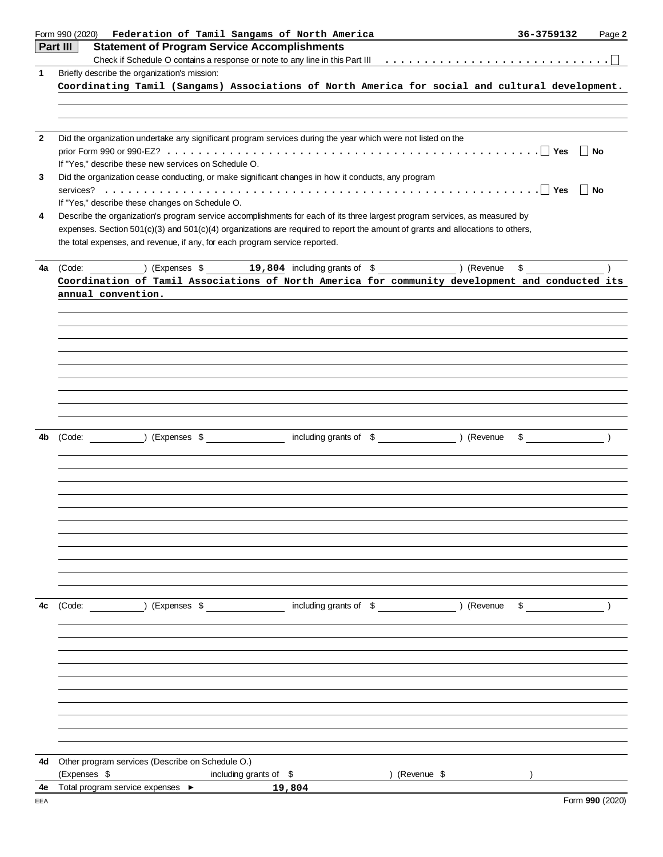|                | Form 990 (2020)<br>Federation of Tamil Sangams of North America                                                                                                               | 36-3759132     | Page 2          |
|----------------|-------------------------------------------------------------------------------------------------------------------------------------------------------------------------------|----------------|-----------------|
|                | Part III<br><b>Statement of Program Service Accomplishments</b>                                                                                                               |                |                 |
|                |                                                                                                                                                                               |                |                 |
| 1              | Briefly describe the organization's mission:                                                                                                                                  |                |                 |
|                | Coordinating Tamil (Sangams) Associations of North America for social and cultural development.                                                                               |                |                 |
|                |                                                                                                                                                                               |                |                 |
|                |                                                                                                                                                                               |                |                 |
| $\overline{2}$ | Did the organization undertake any significant program services during the year which were not listed on the                                                                  |                |                 |
|                |                                                                                                                                                                               |                | ∣ No            |
|                | If "Yes," describe these new services on Schedule O.                                                                                                                          |                |                 |
| 3              | Did the organization cease conducting, or make significant changes in how it conducts, any program                                                                            |                |                 |
|                |                                                                                                                                                                               |                | ∣ ∣ No          |
| 4              | If "Yes," describe these changes on Schedule O.<br>Describe the organization's program service accomplishments for each of its three largest program services, as measured by |                |                 |
|                | expenses. Section 501(c)(3) and 501(c)(4) organizations are required to report the amount of grants and allocations to others,                                                |                |                 |
|                | the total expenses, and revenue, if any, for each program service reported.                                                                                                   |                |                 |
|                |                                                                                                                                                                               |                |                 |
| 4a             | (Code:                                                                                                                                                                        | $\mathfrak s$  |                 |
|                | Coordination of Tamil Associations of North America for community development and conducted its                                                                               |                |                 |
|                | annual convention.                                                                                                                                                            |                |                 |
|                |                                                                                                                                                                               |                |                 |
|                |                                                                                                                                                                               |                |                 |
|                |                                                                                                                                                                               |                |                 |
|                |                                                                                                                                                                               |                |                 |
|                |                                                                                                                                                                               |                |                 |
|                |                                                                                                                                                                               |                |                 |
|                |                                                                                                                                                                               |                |                 |
|                |                                                                                                                                                                               |                |                 |
| 4b             | including grants of \$ (Revenue<br>(Expenses \$<br>(Code:                                                                                                                     |                |                 |
|                |                                                                                                                                                                               |                |                 |
|                |                                                                                                                                                                               |                |                 |
|                |                                                                                                                                                                               |                |                 |
|                |                                                                                                                                                                               |                |                 |
|                |                                                                                                                                                                               |                |                 |
|                |                                                                                                                                                                               |                |                 |
|                |                                                                                                                                                                               |                |                 |
|                |                                                                                                                                                                               |                |                 |
|                |                                                                                                                                                                               |                |                 |
|                |                                                                                                                                                                               |                |                 |
|                |                                                                                                                                                                               |                |                 |
| 4c             | including grants of \$<br>(Expenses \$<br>) (Revenue<br>(Code:                                                                                                                | $\mathfrak{S}$ |                 |
|                |                                                                                                                                                                               |                |                 |
|                |                                                                                                                                                                               |                |                 |
|                |                                                                                                                                                                               |                |                 |
|                |                                                                                                                                                                               |                |                 |
|                |                                                                                                                                                                               |                |                 |
|                |                                                                                                                                                                               |                |                 |
|                |                                                                                                                                                                               |                |                 |
|                |                                                                                                                                                                               |                |                 |
|                |                                                                                                                                                                               |                |                 |
| 4d             | Other program services (Describe on Schedule O.)                                                                                                                              |                |                 |
|                | (Expenses \$<br>including grants of \$<br>) (Revenue \$                                                                                                                       |                |                 |
| 4e             | Total program service expenses ▶<br>19,804                                                                                                                                    |                |                 |
| EEA            |                                                                                                                                                                               |                | Form 990 (2020) |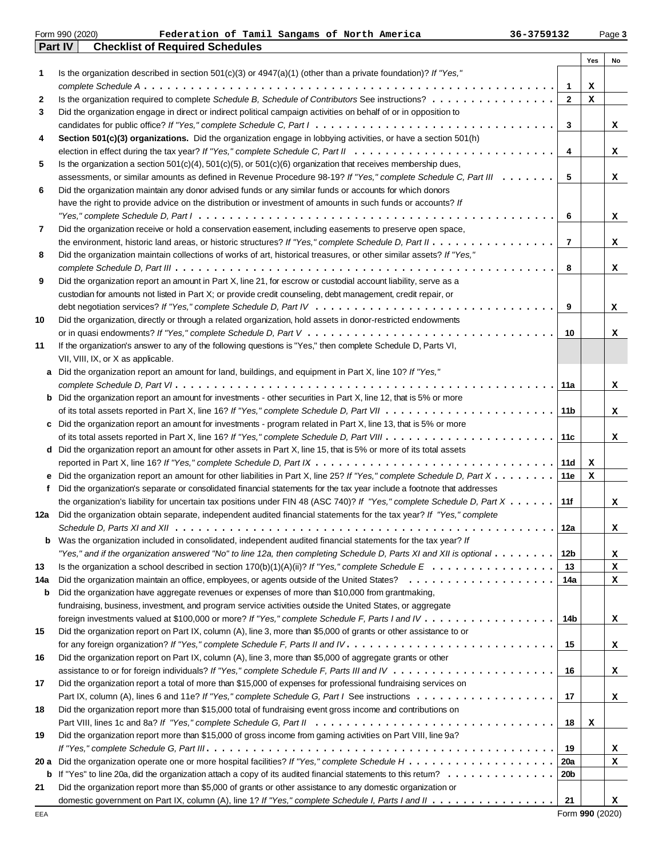|      | Form 990 (2020)<br>Federation of Tamil Sangams of North America<br>36-3759132                                                                                                                                 |                 |     | Page 3 |
|------|---------------------------------------------------------------------------------------------------------------------------------------------------------------------------------------------------------------|-----------------|-----|--------|
|      | <b>Part IV</b><br><b>Checklist of Required Schedules</b>                                                                                                                                                      |                 |     |        |
|      |                                                                                                                                                                                                               |                 | Yes | No     |
| 1    | Is the organization described in section 501(c)(3) or 4947(a)(1) (other than a private foundation)? If "Yes,"                                                                                                 |                 |     |        |
|      |                                                                                                                                                                                                               | $\mathbf{1}$    | x   |        |
| 2    | Is the organization required to complete Schedule B, Schedule of Contributors See instructions?                                                                                                               | $\mathbf{2}$    | x   |        |
| 3    | Did the organization engage in direct or indirect political campaign activities on behalf of or in opposition to                                                                                              |                 |     |        |
|      |                                                                                                                                                                                                               | 3               |     | x      |
| 4    | Section 501(c)(3) organizations. Did the organization engage in lobbying activities, or have a section 501(h)                                                                                                 |                 |     |        |
|      |                                                                                                                                                                                                               | 4               |     | x      |
| 5    | Is the organization a section $501(c)(4)$ , $501(c)(5)$ , or $501(c)(6)$ organization that receives membership dues,                                                                                          |                 |     |        |
|      | assessments, or similar amounts as defined in Revenue Procedure 98-19? If "Yes," complete Schedule C, Part III                                                                                                | 5               |     | x      |
| 6    | Did the organization maintain any donor advised funds or any similar funds or accounts for which donors                                                                                                       |                 |     |        |
|      | have the right to provide advice on the distribution or investment of amounts in such funds or accounts? If                                                                                                   |                 |     |        |
|      |                                                                                                                                                                                                               | 6               |     | x      |
| 7    | Did the organization receive or hold a conservation easement, including easements to preserve open space,                                                                                                     |                 |     |        |
|      |                                                                                                                                                                                                               | $\overline{7}$  |     | x      |
| 8    | Did the organization maintain collections of works of art, historical treasures, or other similar assets? If "Yes,"                                                                                           |                 |     |        |
|      |                                                                                                                                                                                                               | 8               |     | x      |
| 9    | Did the organization report an amount in Part X, line 21, for escrow or custodial account liability, serve as a                                                                                               |                 |     |        |
|      | custodian for amounts not listed in Part X; or provide credit counseling, debt management, credit repair, or                                                                                                  |                 |     |        |
|      |                                                                                                                                                                                                               | 9               |     | x      |
| 10   | Did the organization, directly or through a related organization, hold assets in donor-restricted endowments                                                                                                  |                 |     |        |
|      |                                                                                                                                                                                                               | 10              |     | x      |
| 11   | If the organization's answer to any of the following questions is "Yes," then complete Schedule D, Parts VI,                                                                                                  |                 |     |        |
|      | VII, VIII, IX, or X as applicable.                                                                                                                                                                            |                 |     |        |
|      | a Did the organization report an amount for land, buildings, and equipment in Part X, line 10? If "Yes,"                                                                                                      |                 |     |        |
|      |                                                                                                                                                                                                               | 11a             |     | x      |
|      | <b>b</b> Did the organization report an amount for investments - other securities in Part X, line 12, that is 5% or more                                                                                      |                 |     |        |
|      |                                                                                                                                                                                                               | 11b             |     | x      |
| c    | Did the organization report an amount for investments - program related in Part X, line 13, that is 5% or more                                                                                                |                 |     |        |
|      |                                                                                                                                                                                                               | 11c             |     | x      |
|      | d Did the organization report an amount for other assets in Part X, line 15, that is 5% or more of its total assets                                                                                           |                 |     |        |
|      |                                                                                                                                                                                                               | 11d             | x   |        |
|      | Did the organization report an amount for other liabilities in Part X, line 25? If "Yes," complete Schedule D, Part $X \cdot \cdot \cdot \cdot \cdot$ .                                                       | 11e             | х   |        |
|      | f Did the organization's separate or consolidated financial statements for the tax year include a footnote that addresses                                                                                     |                 |     |        |
|      | the organization's liability for uncertain tax positions under FIN 48 (ASC 740)? If "Yes," complete Schedule D, Part $X \dots \dots$                                                                          | 11f             |     | x      |
| 12a  | Did the organization obtain separate, independent audited financial statements for the tax year? If "Yes," complete                                                                                           |                 |     |        |
|      |                                                                                                                                                                                                               | 12a             |     | x      |
|      | <b>b</b> Was the organization included in consolidated, independent audited financial statements for the tax year? If                                                                                         |                 |     |        |
|      | "Yes," and if the organization answered "No" to line 12a, then completing Schedule D, Parts XI and XII is optional $\ldots \ldots \ldots$                                                                     | 12b             |     | x      |
| 13   |                                                                                                                                                                                                               | 13              |     | x      |
| 14a  |                                                                                                                                                                                                               | 14a             |     | x      |
| b    | Did the organization have aggregate revenues or expenses of more than \$10,000 from grantmaking,<br>fundraising, business, investment, and program service activities outside the United States, or aggregate |                 |     |        |
|      | foreign investments valued at \$100,000 or more? If "Yes," complete Schedule F, Parts I and IV                                                                                                                | 14b             |     |        |
| 15   | Did the organization report on Part IX, column (A), line 3, more than \$5,000 of grants or other assistance to or                                                                                             |                 |     | x      |
|      |                                                                                                                                                                                                               | 15              |     |        |
| 16   | Did the organization report on Part IX, column (A), line 3, more than \$5,000 of aggregate grants or other                                                                                                    |                 |     | x      |
|      |                                                                                                                                                                                                               | 16              |     | x      |
| 17   | Did the organization report a total of more than \$15,000 of expenses for professional fundraising services on                                                                                                |                 |     |        |
|      |                                                                                                                                                                                                               | 17              |     | x      |
| 18   | Did the organization report more than \$15,000 total of fundraising event gross income and contributions on                                                                                                   |                 |     |        |
|      |                                                                                                                                                                                                               | 18              | х   |        |
| 19   | Did the organization report more than \$15,000 of gross income from gaming activities on Part VIII, line 9a?                                                                                                  |                 |     |        |
|      |                                                                                                                                                                                                               | 19              |     | x      |
| 20 a |                                                                                                                                                                                                               | 20a             |     | x      |
| b    |                                                                                                                                                                                                               | 20 <sub>b</sub> |     |        |
| 21   | Did the organization report more than \$5,000 of grants or other assistance to any domestic organization or                                                                                                   |                 |     |        |
|      | domestic government on Part IX, column (A), line 1? If "Yes," complete Schedule I, Parts I and II                                                                                                             | 21              |     | x      |
|      |                                                                                                                                                                                                               |                 |     |        |

|  |  | Form 990 (2020) |
|--|--|-----------------|
|--|--|-----------------|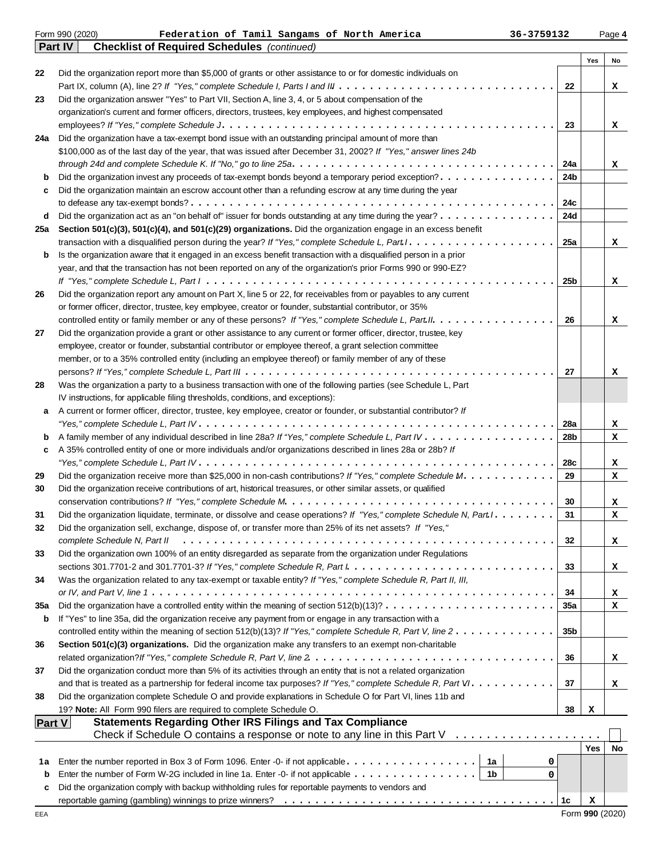|               | Form 990 (2020)<br>Federation of Tamil Sangams of North America<br>36-3759132                                                           |                 |            | Page 4 |
|---------------|-----------------------------------------------------------------------------------------------------------------------------------------|-----------------|------------|--------|
|               | <b>Checklist of Required Schedules</b> (continued)<br><b>Part IV</b>                                                                    |                 |            |        |
|               |                                                                                                                                         |                 | Yes        | No     |
| 22            | Did the organization report more than \$5,000 of grants or other assistance to or for domestic individuals on                           |                 |            |        |
|               |                                                                                                                                         | 22              |            | x      |
| 23            | Did the organization answer "Yes" to Part VII, Section A, line 3, 4, or 5 about compensation of the                                     |                 |            |        |
|               | organization's current and former officers, directors, trustees, key employees, and highest compensated                                 |                 |            |        |
|               |                                                                                                                                         | 23              |            | x      |
| 24a           | Did the organization have a tax-exempt bond issue with an outstanding principal amount of more than                                     |                 |            |        |
|               | \$100,000 as of the last day of the year, that was issued after December 31, 2002? If "Yes," answer lines 24b                           | 24a             |            |        |
| b             | Did the organization invest any proceeds of tax-exempt bonds beyond a temporary period exception?                                       | 24b             |            | x      |
| c             | Did the organization maintain an escrow account other than a refunding escrow at any time during the year                               |                 |            |        |
|               |                                                                                                                                         | 24c             |            |        |
| d             | Did the organization act as an "on behalf of" issuer for bonds outstanding at any time during the year?                                 | 24d             |            |        |
| 25a           | Section 501(c)(3), 501(c)(4), and 501(c)(29) organizations. Did the organization engage in an excess benefit                            |                 |            |        |
|               |                                                                                                                                         | 25a             |            | x      |
| b             | Is the organization aware that it engaged in an excess benefit transaction with a disqualified person in a prior                        |                 |            |        |
|               | year, and that the transaction has not been reported on any of the organization's prior Forms 990 or 990-EZ?                            |                 |            |        |
|               |                                                                                                                                         | 25 <sub>b</sub> |            | x      |
| 26            | Did the organization report any amount on Part X, line 5 or 22, for receivables from or payables to any current                         |                 |            |        |
|               | or former officer, director, trustee, key employee, creator or founder, substantial contributor, or 35%                                 |                 |            |        |
|               | controlled entity or family member or any of these persons? If "Yes," complete Schedule L, Part II.                                     | 26              |            | x      |
| 27            | Did the organization provide a grant or other assistance to any current or former officer, director, trustee, key                       |                 |            |        |
|               | employee, creator or founder, substantial contributor or employee thereof, a grant selection committee                                  |                 |            |        |
|               | member, or to a 35% controlled entity (including an employee thereof) or family member of any of these                                  |                 |            |        |
|               |                                                                                                                                         | 27              |            | x      |
| 28            | Was the organization a party to a business transaction with one of the following parties (see Schedule L, Part                          |                 |            |        |
|               | IV instructions, for applicable filing thresholds, conditions, and exceptions):                                                         |                 |            |        |
| a             | A current or former officer, director, trustee, key employee, creator or founder, or substantial contributor? If                        |                 |            |        |
|               |                                                                                                                                         | 28a             |            | x      |
| b             |                                                                                                                                         | 28b             |            | x      |
| c             | A 35% controlled entity of one or more individuals and/or organizations described in lines 28a or 28b? If                               |                 |            |        |
|               |                                                                                                                                         | 28c             |            | x      |
| 29            | Did the organization receive more than \$25,000 in non-cash contributions? If "Yes," complete Schedule M.                               | 29              |            | x      |
| 30            | Did the organization receive contributions of art, historical treasures, or other similar assets, or qualified                          |                 |            |        |
|               |                                                                                                                                         | 30              |            | x      |
| 31            | Did the organization liquidate, terminate, or dissolve and cease operations? If "Yes," complete Schedule N, Part I. .                   | 31              |            | x      |
| 32            | Did the organization sell, exchange, dispose of, or transfer more than 25% of its net assets? If "Yes,"                                 |                 |            |        |
|               | complete Schedule N, Part II                                                                                                            | 32              |            | x      |
| 33            | Did the organization own 100% of an entity disregarded as separate from the organization under Regulations                              |                 |            |        |
|               |                                                                                                                                         | 33              |            | x      |
| 34            | Was the organization related to any tax-exempt or taxable entity? If "Yes," complete Schedule R, Part II, III,                          |                 |            |        |
|               |                                                                                                                                         | 34              |            | x      |
| 35a<br>b      | If "Yes" to line 35a, did the organization receive any payment from or engage in any transaction with a                                 | 35a             |            | x      |
|               | controlled entity within the meaning of section 512(b)(13)? If "Yes," complete Schedule R, Part V, line $2 \ldots \ldots \ldots \ldots$ | 35 <sub>b</sub> |            |        |
| 36            | Section 501(c)(3) organizations. Did the organization make any transfers to an exempt non-charitable                                    |                 |            |        |
|               |                                                                                                                                         | 36              |            | x      |
| 37            | Did the organization conduct more than 5% of its activities through an entity that is not a related organization                        |                 |            |        |
|               | and that is treated as a partnership for federal income tax purposes? If "Yes," complete Schedule R, Part VI.                           | 37              |            | x      |
| 38            | Did the organization complete Schedule O and provide explanations in Schedule O for Part VI, lines 11b and                              |                 |            |        |
|               | 19? Note: All Form 990 filers are required to complete Schedule O.                                                                      | 38              | x          |        |
| <b>Part V</b> | <b>Statements Regarding Other IRS Filings and Tax Compliance</b>                                                                        |                 |            |        |
|               | Check if Schedule O contains a response or note to any line in this Part V $\ldots \ldots \ldots \ldots \ldots$                         |                 |            |        |
|               |                                                                                                                                         |                 | <b>Yes</b> | No     |
| 1a            | 1a<br>Enter the number reported in Box 3 of Form 1096. Enter -0- if not applicable<br>0                                                 |                 |            |        |
| b             | Enter the number of Form W-2G included in line 1a. Enter -0- if not applicable<br>- 1b<br>0                                             |                 |            |        |
| c             | Did the organization comply with backup withholding rules for reportable payments to vendors and                                        |                 |            |        |
|               |                                                                                                                                         | 1c              | x          |        |
|               |                                                                                                                                         |                 |            |        |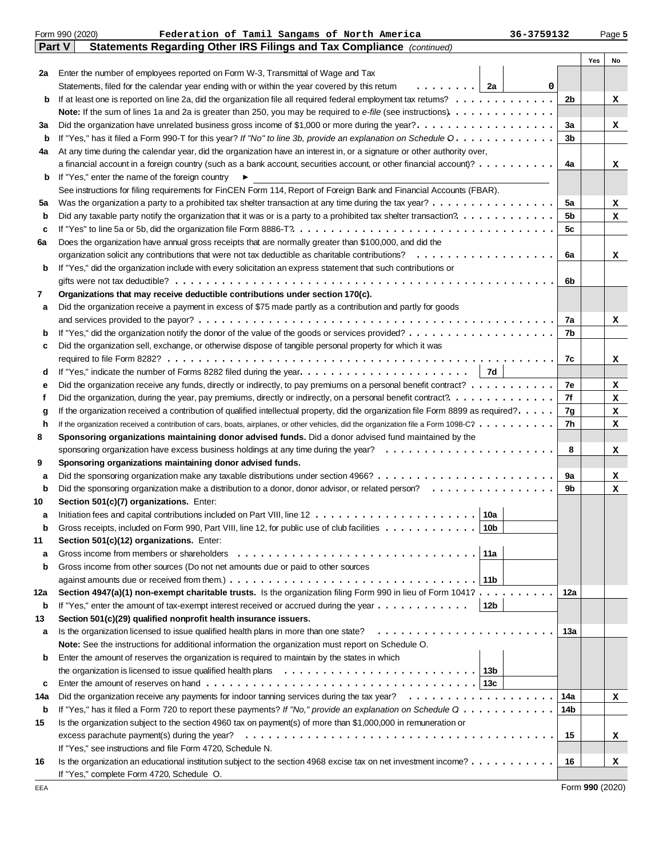|        | Form 990 (2020)<br>Federation of Tamil Sangams of North America<br>36-3759132                                                      |     | Page 5    |
|--------|------------------------------------------------------------------------------------------------------------------------------------|-----|-----------|
| Part V | Statements Regarding Other IRS Filings and Tax Compliance (continued)                                                              |     |           |
|        |                                                                                                                                    |     | Yes<br>No |
| 2a     | Enter the number of employees reported on Form W-3, Transmittal of Wage and Tax                                                    |     |           |
|        | .   2a<br>Statements, filed for the calendar year ending with or within the year covered by this retum<br>0                        |     |           |
| b      | If at least one is reported on line 2a, did the organization file all required federal employment tax returns?                     | 2b  | x         |
|        |                                                                                                                                    |     |           |
| За     | Did the organization have unrelated business gross income of \$1,000 or more during the year?                                      | За  | x         |
| b      | If "Yes," has it filed a Form 990-T for this year? If "No" to line 3b, provide an explanation on Schedule O.                       | 3b  |           |
| 4a     | At any time during the calendar year, did the organization have an interest in, or a signature or other authority over,            |     |           |
|        | a financial account in a foreign country (such as a bank account, securities account, or other financial account)?                 | 4a  | x         |
| b      | If "Yes," enter the name of the foreign country                                                                                    |     |           |
|        | See instructions for filing requirements for FinCEN Form 114, Report of Foreign Bank and Financial Accounts (FBAR).                |     |           |
| 5a     |                                                                                                                                    | 5a  | x         |
| b      |                                                                                                                                    | 5b  | x         |
| c      |                                                                                                                                    | 5c  |           |
| 6а     | Does the organization have annual gross receipts that are normally greater than \$100,000, and did the                             |     |           |
|        |                                                                                                                                    | 6a  | x         |
| b      | If "Yes," did the organization include with every solicitation an express statement that such contributions or                     | 6b  |           |
|        | Organizations that may receive deductible contributions under section 170(c).                                                      |     |           |
| 7      | Did the organization receive a payment in excess of \$75 made partly as a contribution and partly for goods                        |     |           |
| а      |                                                                                                                                    | 7a  | x         |
| b      |                                                                                                                                    | 7b  |           |
| c      | Did the organization sell, exchange, or otherwise dispose of tangible personal property for which it was                           |     |           |
|        |                                                                                                                                    | 7c  | x         |
| d      | 7d                                                                                                                                 |     |           |
| е      | Did the organization receive any funds, directly or indirectly, to pay premiums on a personal benefit contract?                    | 7e  | x         |
| f      |                                                                                                                                    | 7f  | x         |
| g      | If the organization received a contribution of qualified intellectual property, did the organization file Form 8899 as required?.  | 7g  | x         |
| h      | If the organization received a contribution of cars, boats, airplanes, or other vehicles, did the organization file a Form 1098-C? | 7h  | x         |
| 8      | Sponsoring organizations maintaining donor advised funds. Did a donor advised fund maintained by the                               |     |           |
|        | sponsoring organization have excess business holdings at any time during the year? $\ldots \ldots \ldots \ldots \ldots \ldots$     | 8   | x         |
| 9      | Sponsoring organizations maintaining donor advised funds.                                                                          |     |           |
| а      |                                                                                                                                    | 9a  | x         |
| b      | Did the sponsoring organization make a distribution to a donor, donor advisor, or related person?                                  | 9b  | x         |
| 10     | Section 501(c)(7) organizations. Enter:                                                                                            |     |           |
|        | 10a<br>Initiation fees and capital contributions included on Part VIII, line 12                                                    |     |           |
| b      | Gross receipts, included on Form 990, Part VIII, line 12, for public use of club facilities<br>10 <sub>b</sub>                     |     |           |
| 11     | Section 501(c)(12) organizations. Enter:                                                                                           |     |           |
| а      | Gross income from members or shareholders<br>11a                                                                                   |     |           |
| b      | Gross income from other sources (Do not net amounts due or paid to other sources                                                   |     |           |
|        | 11b                                                                                                                                |     |           |
| 12a    | Section 4947(a)(1) non-exempt charitable trusts. Is the organization filing Form 990 in lieu of Form 1041?                         | 12a |           |
| b      | 12 <sub>b</sub><br>If "Yes," enter the amount of tax-exempt interest received or accrued during the year $\dots \dots \dots \dots$ |     |           |
| 13     | Section 501(c)(29) qualified nonprofit health insurance issuers.                                                                   |     |           |
| а      | Is the organization licensed to issue qualified health plans in more than one state?                                               | 13а |           |
|        | Note: See the instructions for additional information the organization must report on Schedule O.                                  |     |           |
| b      | Enter the amount of reserves the organization is required to maintain by the states in which                                       |     |           |
|        |                                                                                                                                    |     |           |
| c      |                                                                                                                                    |     |           |
| 14a    |                                                                                                                                    | 14a | x         |
| b      | If "Yes," has it filed a Form 720 to report these payments? If "No," provide an explanation on Schedule Q                          | 14b |           |
| 15     | Is the organization subject to the section 4960 tax on payment(s) of more than \$1,000,000 in remuneration or                      |     |           |
|        |                                                                                                                                    | 15  | x         |
|        | If "Yes," see instructions and file Form 4720, Schedule N.                                                                         |     |           |
| 16     | Is the organization an educational institution subject to the section 4968 excise tax on net investment income?                    | 16  | x         |
|        | If "Yes," complete Form 4720, Schedule O.                                                                                          |     |           |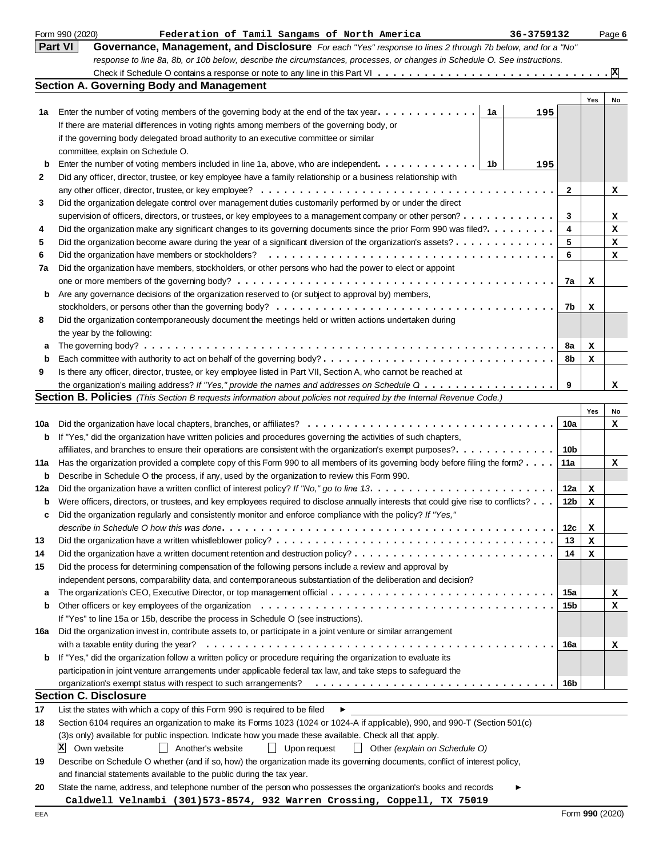|        | Form 990 (2020)<br>Federation of Tamil Sangams of North America<br>36-3759132                                                                                                                                                   |                 |     | Page 6          |
|--------|---------------------------------------------------------------------------------------------------------------------------------------------------------------------------------------------------------------------------------|-----------------|-----|-----------------|
|        | <b>Part VI</b><br>Governance, Management, and Disclosure For each "Yes" response to lines 2 through 7b below, and for a "No"                                                                                                    |                 |     |                 |
|        | response to line 8a, 8b, or 10b below, describe the circumstances, processes, or changes in Schedule O. See instructions.                                                                                                       |                 |     |                 |
|        |                                                                                                                                                                                                                                 |                 |     | $\vert x \vert$ |
|        | <b>Section A. Governing Body and Management</b>                                                                                                                                                                                 |                 |     |                 |
|        |                                                                                                                                                                                                                                 |                 | Yes | No              |
| 1а     | Enter the number of voting members of the governing body at the end of the tax year. $\dots \dots \dots \dots$<br>1a<br>195                                                                                                     |                 |     |                 |
|        | If there are material differences in voting rights among members of the governing body, or                                                                                                                                      |                 |     |                 |
|        | if the governing body delegated broad authority to an executive committee or similar                                                                                                                                            |                 |     |                 |
|        | committee, explain on Schedule O.                                                                                                                                                                                               |                 |     |                 |
| b      | Enter the number of voting members included in line 1a, above, who are independent. $\dots \dots \dots \dots$<br>1b<br>195                                                                                                      |                 |     |                 |
| 2      | Did any officer, director, trustee, or key employee have a family relationship or a business relationship with                                                                                                                  |                 |     |                 |
|        |                                                                                                                                                                                                                                 | $\mathbf{2}$    |     | x               |
| 3      | Did the organization delegate control over management duties customarily performed by or under the direct                                                                                                                       |                 |     |                 |
|        | supervision of officers, directors, or trustees, or key employees to a management company or other person?                                                                                                                      | 3               |     | x               |
| 4<br>5 | Did the organization make any significant changes to its governing documents since the prior Form 990 was filed?.<br>Did the organization become aware during the year of a significant diversion of the organization's assets? | 4<br>5          |     | x               |
| 6      |                                                                                                                                                                                                                                 | 6               |     | x               |
| 7a     | Did the organization have members, stockholders, or other persons who had the power to elect or appoint                                                                                                                         |                 |     | x               |
|        |                                                                                                                                                                                                                                 | 7a              | x   |                 |
| b      | Are any governance decisions of the organization reserved to (or subject to approval by) members,                                                                                                                               |                 |     |                 |
|        |                                                                                                                                                                                                                                 | 7b              | x   |                 |
| 8      | Did the organization contemporaneously document the meetings held or written actions undertaken during                                                                                                                          |                 |     |                 |
|        | the year by the following:                                                                                                                                                                                                      |                 |     |                 |
| а      |                                                                                                                                                                                                                                 | 8a              | x   |                 |
| b      |                                                                                                                                                                                                                                 | 8b              | x   |                 |
| 9      | Is there any officer, director, trustee, or key employee listed in Part VII, Section A, who cannot be reached at                                                                                                                |                 |     |                 |
|        | the organization's mailing address? If "Yes," provide the names and addresses on Schedule Q                                                                                                                                     | 9               |     | x               |
|        | Section B. Policies (This Section B requests information about policies not required by the Internal Revenue Code.)                                                                                                             |                 |     |                 |
|        |                                                                                                                                                                                                                                 |                 | Yes | No              |
| 10a    |                                                                                                                                                                                                                                 | 10a             |     | x               |
| b      | If "Yes," did the organization have written policies and procedures governing the activities of such chapters,                                                                                                                  |                 |     |                 |
|        | affiliates, and branches to ensure their operations are consistent with the organization's exempt purposes?.                                                                                                                    | 10 <sub>b</sub> |     |                 |
| 11a    | Has the organization provided a complete copy of this Form 990 to all members of its governing body before filing the form?                                                                                                     | 11a             |     | x               |
| b      | Describe in Schedule O the process, if any, used by the organization to review this Form 990.                                                                                                                                   |                 |     |                 |
| 12a    |                                                                                                                                                                                                                                 | 12a             | x   |                 |
| b      | Were officers, directors, or trustees, and key employees required to disclose annually interests that could give rise to conflicts?                                                                                             | 12b             | x   |                 |
|        | Did the organization regularly and consistently monitor and enforce compliance with the policy? If "Yes,"                                                                                                                       |                 |     |                 |
|        |                                                                                                                                                                                                                                 | 12c             | х   |                 |
| 13     |                                                                                                                                                                                                                                 | 13              | х   |                 |
| 14     |                                                                                                                                                                                                                                 | 14              | х   |                 |
| 15     | Did the process for determining compensation of the following persons include a review and approval by                                                                                                                          |                 |     |                 |
|        | independent persons, comparability data, and contemporaneous substantiation of the deliberation and decision?                                                                                                                   |                 |     |                 |
| a      |                                                                                                                                                                                                                                 | 15a             |     | x               |
| b      |                                                                                                                                                                                                                                 | 15b             |     | x               |
|        | If "Yes" to line 15a or 15b, describe the process in Schedule O (see instructions).<br>Did the organization invest in, contribute assets to, or participate in a joint venture or similar arrangement                           |                 |     |                 |
| 16a    |                                                                                                                                                                                                                                 | 16a             |     |                 |
| b      | If "Yes," did the organization follow a written policy or procedure requiring the organization to evaluate its                                                                                                                  |                 |     | x               |
|        | participation in joint venture arrangements under applicable federal tax law, and take steps to safeguard the                                                                                                                   |                 |     |                 |
|        |                                                                                                                                                                                                                                 | 16b             |     |                 |
|        | <b>Section C. Disclosure</b>                                                                                                                                                                                                    |                 |     |                 |
| 17     | List the states with which a copy of this Form 990 is required to be filed<br>▶                                                                                                                                                 |                 |     |                 |
| 18     | Section 6104 requires an organization to make its Forms 1023 (1024 or 1024-A if applicable), 990, and 990-T (Section 501(c)                                                                                                     |                 |     |                 |
|        | (3)s only) available for public inspection. Indicate how you made these available. Check all that apply.                                                                                                                        |                 |     |                 |
|        | Own website<br>Another's website<br>  Upon request<br>$\vert$ Other (explain on Schedule O)<br>IХI                                                                                                                              |                 |     |                 |
| 19     | Describe on Schedule O whether (and if so, how) the organization made its governing documents, conflict of interest policy,                                                                                                     |                 |     |                 |
|        | and financial statements available to the public during the tax year.                                                                                                                                                           |                 |     |                 |
| 20     | State the name, address, and telephone number of the person who possesses the organization's books and records                                                                                                                  |                 |     |                 |
|        | Caldwell Velnambi (301)573-8574, 932 Warren Crossing, Coppell, TX 75019                                                                                                                                                         |                 |     |                 |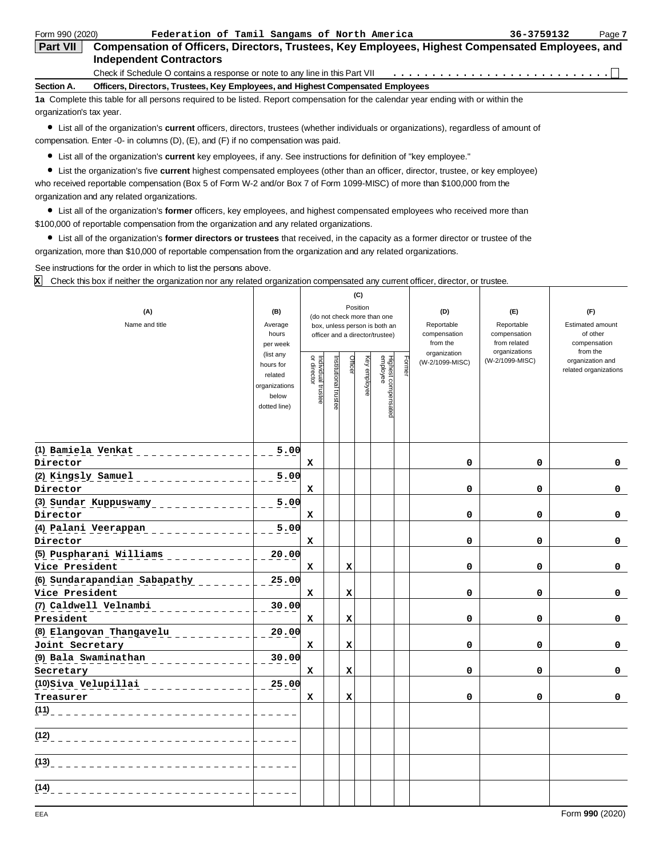| Form 990 (2020)          | Federation of Tamil Sangams of North America                                                                                       | 36-3759132 | Page 7 |  |  |  |  |  |  |
|--------------------------|------------------------------------------------------------------------------------------------------------------------------------|------------|--------|--|--|--|--|--|--|
| <b>Part VII</b>          | Compensation of Officers, Directors, Trustees, Key Employees, Highest Compensated Employees, and<br><b>Independent Contractors</b> |            |        |  |  |  |  |  |  |
|                          | Check if Schedule O contains a response or note to any line in this Part VII                                                       |            |        |  |  |  |  |  |  |
| Section A.               | Officers, Directors, Trustees, Key Employees, and Highest Compensated Employees                                                    |            |        |  |  |  |  |  |  |
|                          | 1a Complete this table for all persons required to be listed. Report compensation for the calendar year ending with or within the  |            |        |  |  |  |  |  |  |
| organization's tax year. |                                                                                                                                    |            |        |  |  |  |  |  |  |

List all of the organization's **current** officers, directors, trustees (whether individuals or organizations), regardless of amount of compensation. Enter -0- in columns (D), (E), and (F) if no compensation was paid.

List all of the organization's **current** key employees, if any. See instructions for definition of "key employee."

List the organization's five **current** highest compensated employees (other than an officer, director, trustee, or key employee) who received reportable compensation (Box 5 of Form W-2 and/or Box 7 of Form 1099-MISC) of more than \$100,000 from the organization and any related organizations.

List all of the organization's **former** officers, key employees, and highest compensated employees who received more than \$100,000 of reportable compensation from the organization and any related organizations.

List all of the organization's **former directors or trustees** that received, in the capacity as a former director or trustee of the organization, more than \$10,000 of reportable compensation from the organization and any related organizations.

See instructions for the order in which to list the persons above.

Check this box if neither the organization nor any related organization compensated any current officer, director, or trustee. **X**

|                              |                        | (C)                               |                      |             |              |                                                              |        |                          |                               |                          |
|------------------------------|------------------------|-----------------------------------|----------------------|-------------|--------------|--------------------------------------------------------------|--------|--------------------------|-------------------------------|--------------------------|
| (A)                          | (B)                    |                                   |                      |             | Position     |                                                              |        | (D)                      | (E)                           | (F)                      |
| Name and title               | Average                |                                   |                      |             |              | (do not check more than one<br>box, unless person is both an |        | Reportable               | Reportable                    | Estimated amount         |
|                              | hours                  |                                   |                      |             |              | officer and a director/trustee)                              |        | compensation             | compensation                  | of other                 |
|                              | per week               |                                   |                      |             |              |                                                              |        | from the<br>organization | from related<br>organizations | compensation<br>from the |
|                              | (list any<br>hours for | Individual trustee<br>or director |                      | Officer     |              |                                                              | Former | (W-2/1099-MISC)          | (W-2/1099-MISC)               | organization and         |
|                              | related                |                                   | nstitutional trustee |             | Key employee | Highest compensated<br>employee                              |        |                          |                               | related organizations    |
|                              | organizations          |                                   |                      |             |              |                                                              |        |                          |                               |                          |
|                              | below                  |                                   |                      |             |              |                                                              |        |                          |                               |                          |
|                              | dotted line)           |                                   |                      |             |              |                                                              |        |                          |                               |                          |
|                              |                        |                                   |                      |             |              |                                                              |        |                          |                               |                          |
|                              |                        |                                   |                      |             |              |                                                              |        |                          |                               |                          |
| (1) Bamiela Venkat           | 5.00                   |                                   |                      |             |              |                                                              |        |                          |                               |                          |
| Director                     |                        | $\mathbf x$                       |                      |             |              |                                                              |        | 0                        | $\mathbf 0$                   | 0                        |
| (2) Kingsly Samuel           | 5.00                   |                                   |                      |             |              |                                                              |        |                          |                               |                          |
| Director                     |                        | x                                 |                      |             |              |                                                              |        | 0                        | 0                             | 0                        |
| (3) Sundar Kuppuswamy        | 5.00                   |                                   |                      |             |              |                                                              |        |                          |                               |                          |
| Director                     |                        | x                                 |                      |             |              |                                                              |        | 0                        | 0                             | 0                        |
| (4) Palani Veerappan         | 5.00                   |                                   |                      |             |              |                                                              |        |                          |                               |                          |
| Director                     |                        | x                                 |                      |             |              |                                                              |        | 0                        | 0                             | 0                        |
| (5) Puspharani Williams      | 20.00                  |                                   |                      |             |              |                                                              |        |                          |                               |                          |
| Vice President               |                        | x                                 |                      | $\mathbf x$ |              |                                                              |        | 0                        | 0                             | 0                        |
| (6) Sundarapandian Sabapathy | 25.00                  |                                   |                      |             |              |                                                              |        |                          |                               |                          |
| Vice President               |                        | x                                 |                      | $\mathbf x$ |              |                                                              |        | 0                        | 0                             | 0                        |
| (7) Caldwell Velnambi        | 30.00                  |                                   |                      |             |              |                                                              |        |                          |                               |                          |
| President                    |                        | x                                 |                      | X           |              |                                                              |        | 0                        | 0                             | 0                        |
| (8) Elangovan Thangavelu     | 20.00                  |                                   |                      |             |              |                                                              |        |                          |                               |                          |
| Joint Secretary              |                        | x                                 |                      | X           |              |                                                              |        | 0                        | 0                             | 0                        |
| (9) Bala Swaminathan         | 30.00                  |                                   |                      |             |              |                                                              |        |                          |                               |                          |
| Secretary                    |                        | X                                 |                      | X           |              |                                                              |        | 0                        | 0                             | 0                        |
| (10) Siva Velupillai         | 25.00                  |                                   |                      |             |              |                                                              |        |                          |                               |                          |
| Treasurer                    |                        | X                                 |                      | X           |              |                                                              |        | 0                        | 0                             | 0                        |
| (11)                         |                        |                                   |                      |             |              |                                                              |        |                          |                               |                          |
|                              |                        |                                   |                      |             |              |                                                              |        |                          |                               |                          |
| (12)                         |                        |                                   |                      |             |              |                                                              |        |                          |                               |                          |
| (13)                         |                        |                                   |                      |             |              |                                                              |        |                          |                               |                          |
|                              |                        |                                   |                      |             |              |                                                              |        |                          |                               |                          |
| (14)                         |                        |                                   |                      |             |              |                                                              |        |                          |                               |                          |
|                              |                        |                                   |                      |             |              |                                                              |        |                          |                               |                          |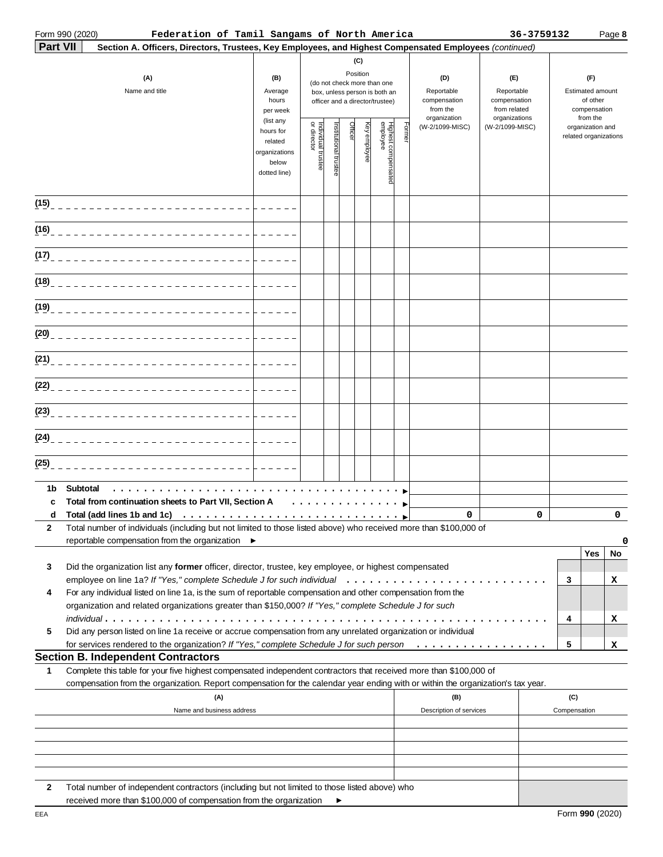#### **Section A. Officers, Directors, Trustees, Key Employees, and Highest Compensated Employees** (continued)

| organization<br>organizations<br>from the<br>(list any<br>Highest compensated<br>employee<br>or director<br>Officer<br>Individual trustee<br>Key employee<br>nstitutional trustee<br>Forme<br>(W-2/1099-MISC)<br>(W-2/1099-MISC)<br>organization and<br>hours for<br>related organizations<br>related<br>organizations<br>below<br>dotted line)<br>(15)<br>(16)<br>(17)<br>(18)<br>(19)<br>(20)<br>(21)<br>(22)<br>(23)<br>(24)<br>(25)<br><b>Subtotal</b><br>1b<br>Total from continuation sheets to Part VII, Section A<br>c<br>d<br>Total (add lines 1b and 1c)<br>0<br>0<br>2<br>Total number of individuals (including but not limited to those listed above) who received more than \$100,000 of<br>reportable compensation from the organization ▶<br>Yes<br>Did the organization list any former officer, director, trustee, key employee, or highest compensated<br>3<br>3<br>x<br>For any individual listed on line 1a, is the sum of reportable compensation and other compensation from the<br>4<br>organization and related organizations greater than \$150,000? If "Yes," complete Schedule J for such<br>4<br>x<br>Did any person listed on line 1a receive or accrue compensation from any unrelated organization or individual<br>5<br>for services rendered to the organization? If "Yes," complete Schedule J for such person<br>5<br><b>Section B. Independent Contractors</b><br>Complete this table for your five highest compensated independent contractors that received more than \$100,000 of<br>1<br>compensation from the organization. Report compensation for the calendar year ending with or within the organization's tax year.<br>(C)<br>(A)<br>(B)<br>Name and business address<br>Description of services<br>Compensation | <u>. a.c. .</u> | bechon A. Omcers, Directors, Trustees, Rey Employees, and Inghest Compensated Employees (co <i>mmed</i><br>(A)<br>Name and title | (B)<br>Average<br>hours<br>per week |  | (C)<br>Position | (do not check more than one<br>box, unless person is both an<br>officer and a director/trustee) | (D)<br>Reportable<br>compensation<br>from the | (E)<br>Reportable<br>compensation<br>from related | (F)<br>Estimated amount<br>of other<br>compensation |  |    |
|-----------------------------------------------------------------------------------------------------------------------------------------------------------------------------------------------------------------------------------------------------------------------------------------------------------------------------------------------------------------------------------------------------------------------------------------------------------------------------------------------------------------------------------------------------------------------------------------------------------------------------------------------------------------------------------------------------------------------------------------------------------------------------------------------------------------------------------------------------------------------------------------------------------------------------------------------------------------------------------------------------------------------------------------------------------------------------------------------------------------------------------------------------------------------------------------------------------------------------------------------------------------------------------------------------------------------------------------------------------------------------------------------------------------------------------------------------------------------------------------------------------------------------------------------------------------------------------------------------------------------------------------------------------------------------------------------------------------------------------------------------------------|-----------------|----------------------------------------------------------------------------------------------------------------------------------|-------------------------------------|--|-----------------|-------------------------------------------------------------------------------------------------|-----------------------------------------------|---------------------------------------------------|-----------------------------------------------------|--|----|
|                                                                                                                                                                                                                                                                                                                                                                                                                                                                                                                                                                                                                                                                                                                                                                                                                                                                                                                                                                                                                                                                                                                                                                                                                                                                                                                                                                                                                                                                                                                                                                                                                                                                                                                                                                 |                 |                                                                                                                                  |                                     |  |                 |                                                                                                 |                                               |                                                   |                                                     |  |    |
|                                                                                                                                                                                                                                                                                                                                                                                                                                                                                                                                                                                                                                                                                                                                                                                                                                                                                                                                                                                                                                                                                                                                                                                                                                                                                                                                                                                                                                                                                                                                                                                                                                                                                                                                                                 |                 |                                                                                                                                  |                                     |  |                 |                                                                                                 |                                               |                                                   |                                                     |  |    |
|                                                                                                                                                                                                                                                                                                                                                                                                                                                                                                                                                                                                                                                                                                                                                                                                                                                                                                                                                                                                                                                                                                                                                                                                                                                                                                                                                                                                                                                                                                                                                                                                                                                                                                                                                                 |                 |                                                                                                                                  |                                     |  |                 |                                                                                                 |                                               |                                                   |                                                     |  |    |
|                                                                                                                                                                                                                                                                                                                                                                                                                                                                                                                                                                                                                                                                                                                                                                                                                                                                                                                                                                                                                                                                                                                                                                                                                                                                                                                                                                                                                                                                                                                                                                                                                                                                                                                                                                 |                 |                                                                                                                                  |                                     |  |                 |                                                                                                 |                                               |                                                   |                                                     |  |    |
|                                                                                                                                                                                                                                                                                                                                                                                                                                                                                                                                                                                                                                                                                                                                                                                                                                                                                                                                                                                                                                                                                                                                                                                                                                                                                                                                                                                                                                                                                                                                                                                                                                                                                                                                                                 |                 |                                                                                                                                  |                                     |  |                 |                                                                                                 |                                               |                                                   |                                                     |  |    |
|                                                                                                                                                                                                                                                                                                                                                                                                                                                                                                                                                                                                                                                                                                                                                                                                                                                                                                                                                                                                                                                                                                                                                                                                                                                                                                                                                                                                                                                                                                                                                                                                                                                                                                                                                                 |                 |                                                                                                                                  |                                     |  |                 |                                                                                                 |                                               |                                                   |                                                     |  |    |
|                                                                                                                                                                                                                                                                                                                                                                                                                                                                                                                                                                                                                                                                                                                                                                                                                                                                                                                                                                                                                                                                                                                                                                                                                                                                                                                                                                                                                                                                                                                                                                                                                                                                                                                                                                 |                 |                                                                                                                                  |                                     |  |                 |                                                                                                 |                                               |                                                   |                                                     |  |    |
|                                                                                                                                                                                                                                                                                                                                                                                                                                                                                                                                                                                                                                                                                                                                                                                                                                                                                                                                                                                                                                                                                                                                                                                                                                                                                                                                                                                                                                                                                                                                                                                                                                                                                                                                                                 |                 |                                                                                                                                  |                                     |  |                 |                                                                                                 |                                               |                                                   |                                                     |  |    |
|                                                                                                                                                                                                                                                                                                                                                                                                                                                                                                                                                                                                                                                                                                                                                                                                                                                                                                                                                                                                                                                                                                                                                                                                                                                                                                                                                                                                                                                                                                                                                                                                                                                                                                                                                                 |                 |                                                                                                                                  |                                     |  |                 |                                                                                                 |                                               |                                                   |                                                     |  |    |
|                                                                                                                                                                                                                                                                                                                                                                                                                                                                                                                                                                                                                                                                                                                                                                                                                                                                                                                                                                                                                                                                                                                                                                                                                                                                                                                                                                                                                                                                                                                                                                                                                                                                                                                                                                 |                 |                                                                                                                                  |                                     |  |                 |                                                                                                 |                                               |                                                   |                                                     |  |    |
|                                                                                                                                                                                                                                                                                                                                                                                                                                                                                                                                                                                                                                                                                                                                                                                                                                                                                                                                                                                                                                                                                                                                                                                                                                                                                                                                                                                                                                                                                                                                                                                                                                                                                                                                                                 |                 |                                                                                                                                  |                                     |  |                 |                                                                                                 |                                               |                                                   |                                                     |  |    |
|                                                                                                                                                                                                                                                                                                                                                                                                                                                                                                                                                                                                                                                                                                                                                                                                                                                                                                                                                                                                                                                                                                                                                                                                                                                                                                                                                                                                                                                                                                                                                                                                                                                                                                                                                                 |                 |                                                                                                                                  |                                     |  |                 |                                                                                                 |                                               |                                                   |                                                     |  |    |
|                                                                                                                                                                                                                                                                                                                                                                                                                                                                                                                                                                                                                                                                                                                                                                                                                                                                                                                                                                                                                                                                                                                                                                                                                                                                                                                                                                                                                                                                                                                                                                                                                                                                                                                                                                 |                 |                                                                                                                                  |                                     |  |                 |                                                                                                 |                                               |                                                   |                                                     |  | 0  |
|                                                                                                                                                                                                                                                                                                                                                                                                                                                                                                                                                                                                                                                                                                                                                                                                                                                                                                                                                                                                                                                                                                                                                                                                                                                                                                                                                                                                                                                                                                                                                                                                                                                                                                                                                                 |                 |                                                                                                                                  |                                     |  |                 |                                                                                                 |                                               |                                                   |                                                     |  | 0  |
|                                                                                                                                                                                                                                                                                                                                                                                                                                                                                                                                                                                                                                                                                                                                                                                                                                                                                                                                                                                                                                                                                                                                                                                                                                                                                                                                                                                                                                                                                                                                                                                                                                                                                                                                                                 |                 |                                                                                                                                  |                                     |  |                 |                                                                                                 |                                               |                                                   |                                                     |  | No |
|                                                                                                                                                                                                                                                                                                                                                                                                                                                                                                                                                                                                                                                                                                                                                                                                                                                                                                                                                                                                                                                                                                                                                                                                                                                                                                                                                                                                                                                                                                                                                                                                                                                                                                                                                                 |                 |                                                                                                                                  |                                     |  |                 |                                                                                                 |                                               |                                                   |                                                     |  |    |
|                                                                                                                                                                                                                                                                                                                                                                                                                                                                                                                                                                                                                                                                                                                                                                                                                                                                                                                                                                                                                                                                                                                                                                                                                                                                                                                                                                                                                                                                                                                                                                                                                                                                                                                                                                 |                 |                                                                                                                                  |                                     |  |                 |                                                                                                 |                                               |                                                   |                                                     |  | x  |
|                                                                                                                                                                                                                                                                                                                                                                                                                                                                                                                                                                                                                                                                                                                                                                                                                                                                                                                                                                                                                                                                                                                                                                                                                                                                                                                                                                                                                                                                                                                                                                                                                                                                                                                                                                 |                 |                                                                                                                                  |                                     |  |                 |                                                                                                 |                                               |                                                   |                                                     |  |    |
|                                                                                                                                                                                                                                                                                                                                                                                                                                                                                                                                                                                                                                                                                                                                                                                                                                                                                                                                                                                                                                                                                                                                                                                                                                                                                                                                                                                                                                                                                                                                                                                                                                                                                                                                                                 |                 |                                                                                                                                  |                                     |  |                 |                                                                                                 |                                               |                                                   |                                                     |  |    |
|                                                                                                                                                                                                                                                                                                                                                                                                                                                                                                                                                                                                                                                                                                                                                                                                                                                                                                                                                                                                                                                                                                                                                                                                                                                                                                                                                                                                                                                                                                                                                                                                                                                                                                                                                                 |                 |                                                                                                                                  |                                     |  |                 |                                                                                                 |                                               |                                                   |                                                     |  |    |
|                                                                                                                                                                                                                                                                                                                                                                                                                                                                                                                                                                                                                                                                                                                                                                                                                                                                                                                                                                                                                                                                                                                                                                                                                                                                                                                                                                                                                                                                                                                                                                                                                                                                                                                                                                 |                 |                                                                                                                                  |                                     |  |                 |                                                                                                 |                                               |                                                   |                                                     |  |    |
| $\mathbf{2}$<br>Total number of independent contractors (including but not limited to those listed above) who                                                                                                                                                                                                                                                                                                                                                                                                                                                                                                                                                                                                                                                                                                                                                                                                                                                                                                                                                                                                                                                                                                                                                                                                                                                                                                                                                                                                                                                                                                                                                                                                                                                   |                 |                                                                                                                                  |                                     |  |                 |                                                                                                 |                                               |                                                   |                                                     |  |    |

received more than \$100,000 of compensation from the organization  $\begin{array}{c}\n\hline\n\end{array}$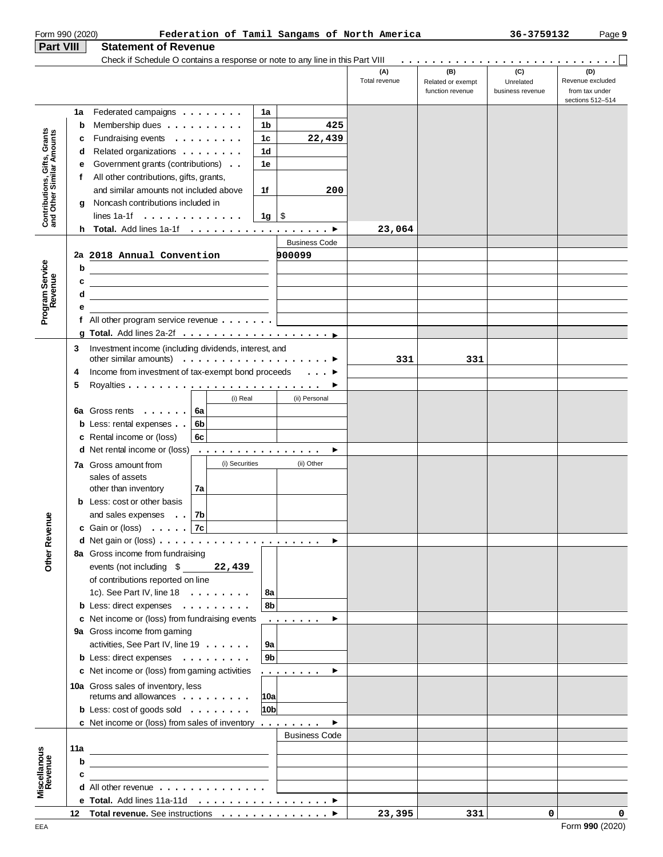| Form 990 (2020)                                                            |     |                                                                               |    |                |                 | Federation of Tamil Sangams of North America |                      |                                              | 36-3759132                           | Page 9                                                        |
|----------------------------------------------------------------------------|-----|-------------------------------------------------------------------------------|----|----------------|-----------------|----------------------------------------------|----------------------|----------------------------------------------|--------------------------------------|---------------------------------------------------------------|
| <b>Part VIII</b>                                                           |     | <b>Statement of Revenue</b>                                                   |    |                |                 |                                              |                      |                                              |                                      |                                                               |
|                                                                            |     | Check if Schedule O contains a response or note to any line in this Part VIII |    |                |                 |                                              |                      |                                              |                                      |                                                               |
|                                                                            |     |                                                                               |    |                |                 |                                              | (A)<br>Total revenue | (B)<br>Related or exempt<br>function revenue | (C)<br>Unrelated<br>business revenue | (D)<br>Revenue excluded<br>from tax under<br>sections 512-514 |
|                                                                            | 1a  | Federated campaigns                                                           |    |                | 1a              |                                              |                      |                                              |                                      |                                                               |
|                                                                            | b   | Membership dues                                                               |    |                | 1b              | 425                                          |                      |                                              |                                      |                                                               |
|                                                                            | c   | Fundraising events                                                            |    |                | 1c              | 22,439                                       |                      |                                              |                                      |                                                               |
|                                                                            | d   | Related organizations                                                         |    |                | 1 <sub>d</sub>  |                                              |                      |                                              |                                      |                                                               |
| Gifts, Grants<br>Contributions, Gifts, Grants<br>and Other Similar Amounts | е   | Government grants (contributions)                                             |    |                | 1e              |                                              |                      |                                              |                                      |                                                               |
|                                                                            | f   | All other contributions, gifts, grants,                                       |    |                |                 |                                              |                      |                                              |                                      |                                                               |
|                                                                            |     | and similar amounts not included above                                        |    |                | 1f              | 200                                          |                      |                                              |                                      |                                                               |
|                                                                            | a   | Noncash contributions included in                                             |    |                |                 |                                              |                      |                                              |                                      |                                                               |
|                                                                            |     | lines 1a-1f $\ldots$ , $\ldots$ , $\ldots$ , $\ldots$                         |    |                | 1g              | \$                                           |                      |                                              |                                      |                                                               |
|                                                                            |     |                                                                               |    |                |                 |                                              | 23,064               |                                              |                                      |                                                               |
|                                                                            |     |                                                                               |    |                |                 | <b>Business Code</b>                         |                      |                                              |                                      |                                                               |
|                                                                            |     | 2a 2018 Annual Convention                                                     |    |                |                 | 900099                                       |                      |                                              |                                      |                                                               |
|                                                                            | b   |                                                                               |    |                |                 |                                              |                      |                                              |                                      |                                                               |
|                                                                            | c   |                                                                               |    |                |                 |                                              |                      |                                              |                                      |                                                               |
|                                                                            | d   |                                                                               |    |                |                 |                                              |                      |                                              |                                      |                                                               |
| Program Service<br>Revenue                                                 | е   |                                                                               |    |                |                 |                                              |                      |                                              |                                      |                                                               |
|                                                                            |     | f All other program service revenue $\ldots \ldots$                           |    |                |                 |                                              |                      |                                              |                                      |                                                               |
|                                                                            |     |                                                                               |    |                |                 |                                              |                      |                                              |                                      |                                                               |
|                                                                            | 3   | Investment income (including dividends, interest, and                         |    |                |                 |                                              |                      |                                              |                                      |                                                               |
|                                                                            |     |                                                                               |    |                |                 |                                              | 331                  | 331                                          |                                      |                                                               |
|                                                                            | 4   | Income from investment of tax-exempt bond proceeds                            |    |                |                 | $\ldots$ $\blacktriangleright$               |                      |                                              |                                      |                                                               |
|                                                                            | 5   |                                                                               |    |                |                 |                                              |                      |                                              |                                      |                                                               |
|                                                                            |     |                                                                               |    | (i) Real       |                 | (ii) Personal                                |                      |                                              |                                      |                                                               |
|                                                                            | 6а  | Gross rents                                                                   | 6a |                |                 |                                              |                      |                                              |                                      |                                                               |
|                                                                            |     | <b>b</b> Less: rental expenses                                                | 6b |                |                 |                                              |                      |                                              |                                      |                                                               |
|                                                                            |     | c Rental income or (loss)                                                     | 6c |                |                 |                                              |                      |                                              |                                      |                                                               |
|                                                                            |     | <b>d</b> Net rental income or (loss)                                          |    |                |                 | .                                            |                      |                                              |                                      |                                                               |
|                                                                            |     | <b>7a</b> Gross amount from                                                   |    | (i) Securities |                 | (ii) Other                                   |                      |                                              |                                      |                                                               |
|                                                                            |     | sales of assets                                                               |    |                |                 |                                              |                      |                                              |                                      |                                                               |
|                                                                            |     | other than inventory                                                          | 7a |                |                 |                                              |                      |                                              |                                      |                                                               |
|                                                                            |     | <b>b</b> Less: cost or other basis                                            |    |                |                 |                                              |                      |                                              |                                      |                                                               |
|                                                                            |     | and sales expenses $\cdot \cdot  7b $                                         |    |                |                 |                                              |                      |                                              |                                      |                                                               |
| Other Revenue                                                              |     | c Gain or (loss) $\ldots$ 7c                                                  |    |                |                 |                                              |                      |                                              |                                      |                                                               |
|                                                                            |     | 8a Gross income from fundraising                                              |    |                |                 |                                              |                      |                                              |                                      |                                                               |
|                                                                            |     | events (not including \$                                                      |    |                |                 |                                              |                      |                                              |                                      |                                                               |
|                                                                            |     | of contributions reported on line                                             |    | 22,439         |                 |                                              |                      |                                              |                                      |                                                               |
|                                                                            |     | 1c). See Part IV, line $18 \ldots \ldots \ldots$                              |    |                | 8a              |                                              |                      |                                              |                                      |                                                               |
|                                                                            |     | b Less: direct expenses                                                       |    |                | 8b              |                                              |                      |                                              |                                      |                                                               |
|                                                                            |     | c Net income or (loss) from fundraising events                                |    |                |                 | ▶                                            |                      |                                              |                                      |                                                               |
|                                                                            |     | 9a Gross income from gaming                                                   |    |                |                 |                                              |                      |                                              |                                      |                                                               |
|                                                                            |     | activities, See Part IV, line 19                                              |    |                | 9а              |                                              |                      |                                              |                                      |                                                               |
|                                                                            |     | b Less: direct expenses                                                       |    |                | 9 <sub>b</sub>  |                                              |                      |                                              |                                      |                                                               |
|                                                                            |     | c Net income or (loss) from gaming activities                                 |    |                |                 | .<br>▶                                       |                      |                                              |                                      |                                                               |
|                                                                            |     | 10a Gross sales of inventory, less                                            |    |                |                 |                                              |                      |                                              |                                      |                                                               |
|                                                                            |     | returns and allowances                                                        |    |                | 10a             |                                              |                      |                                              |                                      |                                                               |
|                                                                            |     | <b>b</b> Less: $cost$ of goods sold $\ldots \ldots \ldots$                    |    |                | 10 <sub>b</sub> |                                              |                      |                                              |                                      |                                                               |
|                                                                            |     | c Net income or (loss) from sales of inventory $\dots \dots$                  |    |                |                 |                                              |                      |                                              |                                      |                                                               |
|                                                                            |     |                                                                               |    |                |                 | <b>Business Code</b>                         |                      |                                              |                                      |                                                               |
|                                                                            | 11a |                                                                               |    |                |                 |                                              |                      |                                              |                                      |                                                               |
|                                                                            | b   |                                                                               |    |                |                 |                                              |                      |                                              |                                      |                                                               |
|                                                                            | c   | <u> 1980 - Andrea Andrew Maria (h. 1980).</u>                                 |    |                |                 |                                              |                      |                                              |                                      |                                                               |
| <b>Miscellanous</b><br>Revenue                                             |     | <b>d</b> All other revenue $\ldots$ , $\ldots$ , $\ldots$ , $\ldots$          |    |                |                 |                                              |                      |                                              |                                      |                                                               |
|                                                                            |     |                                                                               |    |                |                 |                                              |                      |                                              |                                      |                                                               |
|                                                                            |     | 12 Total revenue. See instructions ▶                                          |    |                |                 |                                              | 23,395               | 331                                          | 0                                    | 0                                                             |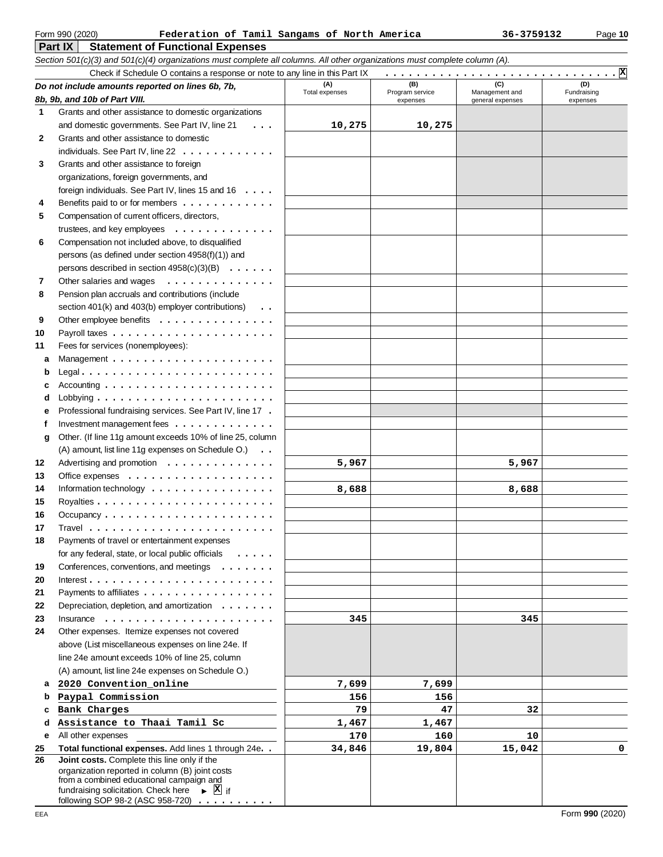# **Part IX Statement of Functional Expenses**<br>Section 501(c)(3) and 501(c)(4) organizations must complete Form 990 (2020) Page **10 Federation of Tamil Sangams of North America 36-3759132**

|          | Section 501(c)(3) and 501(c)(4) organizations must complete all columns. All other organizations must complete column (A). |                       |                        |                       |                    |  |  |  |  |  |  |  |
|----------|----------------------------------------------------------------------------------------------------------------------------|-----------------------|------------------------|-----------------------|--------------------|--|--|--|--|--|--|--|
|          | Check if Schedule O contains a response or note to any line in this Part IX                                                |                       |                        |                       |                    |  |  |  |  |  |  |  |
|          | Do not include amounts reported on lines 6b, 7b,                                                                           | (A)<br>Total expenses | (B)<br>Program service | (C)<br>Management and | (D)<br>Fundraising |  |  |  |  |  |  |  |
|          | 8b, 9b, and 10b of Part VIII.                                                                                              |                       | expenses               | general expenses      | expenses           |  |  |  |  |  |  |  |
| 1        | Grants and other assistance to domestic organizations                                                                      |                       |                        |                       |                    |  |  |  |  |  |  |  |
|          | and domestic governments. See Part IV, line 21<br>$\cdot \cdot \cdot$                                                      | 10,275                | 10,275                 |                       |                    |  |  |  |  |  |  |  |
| 2        | Grants and other assistance to domestic                                                                                    |                       |                        |                       |                    |  |  |  |  |  |  |  |
|          | individuals. See Part IV, line 22                                                                                          |                       |                        |                       |                    |  |  |  |  |  |  |  |
| 3        | Grants and other assistance to foreign                                                                                     |                       |                        |                       |                    |  |  |  |  |  |  |  |
|          | organizations, foreign governments, and                                                                                    |                       |                        |                       |                    |  |  |  |  |  |  |  |
|          | foreign individuals. See Part IV, lines 15 and 16                                                                          |                       |                        |                       |                    |  |  |  |  |  |  |  |
| 4        | Benefits paid to or for members                                                                                            |                       |                        |                       |                    |  |  |  |  |  |  |  |
| 5        | Compensation of current officers, directors,                                                                               |                       |                        |                       |                    |  |  |  |  |  |  |  |
|          | trustees, and key employees                                                                                                |                       |                        |                       |                    |  |  |  |  |  |  |  |
| 6        | Compensation not included above, to disqualified                                                                           |                       |                        |                       |                    |  |  |  |  |  |  |  |
|          | persons (as defined under section 4958(f)(1)) and                                                                          |                       |                        |                       |                    |  |  |  |  |  |  |  |
|          | persons described in section $4958(c)(3)(B) \ldots \ldots$                                                                 |                       |                        |                       |                    |  |  |  |  |  |  |  |
| 7        | Other salaries and wages<br>.                                                                                              |                       |                        |                       |                    |  |  |  |  |  |  |  |
| 8        | Pension plan accruals and contributions (include                                                                           |                       |                        |                       |                    |  |  |  |  |  |  |  |
|          | section 401(k) and 403(b) employer contributions)<br>$\cdots$                                                              |                       |                        |                       |                    |  |  |  |  |  |  |  |
| 9        | Other employee benefits                                                                                                    |                       |                        |                       |                    |  |  |  |  |  |  |  |
| 10       |                                                                                                                            |                       |                        |                       |                    |  |  |  |  |  |  |  |
|          |                                                                                                                            |                       |                        |                       |                    |  |  |  |  |  |  |  |
| 11       | Fees for services (nonemployees):                                                                                          |                       |                        |                       |                    |  |  |  |  |  |  |  |
| a        |                                                                                                                            |                       |                        |                       |                    |  |  |  |  |  |  |  |
| b        | Legal                                                                                                                      |                       |                        |                       |                    |  |  |  |  |  |  |  |
|          |                                                                                                                            |                       |                        |                       |                    |  |  |  |  |  |  |  |
| d        |                                                                                                                            |                       |                        |                       |                    |  |  |  |  |  |  |  |
| е        | Professional fundraising services. See Part IV, line 17.                                                                   |                       |                        |                       |                    |  |  |  |  |  |  |  |
| f        | Investment management fees                                                                                                 |                       |                        |                       |                    |  |  |  |  |  |  |  |
| g        | Other. (If line 11g amount exceeds 10% of line 25, column                                                                  |                       |                        |                       |                    |  |  |  |  |  |  |  |
|          | (A) amount, list line 11g expenses on Schedule O.)                                                                         |                       |                        |                       |                    |  |  |  |  |  |  |  |
| 12       | Advertising and promotion                                                                                                  | 5,967                 |                        | 5,967                 |                    |  |  |  |  |  |  |  |
| 13       |                                                                                                                            |                       |                        |                       |                    |  |  |  |  |  |  |  |
| 14       | Information technology                                                                                                     | 8,688                 |                        | 8,688                 |                    |  |  |  |  |  |  |  |
| 15       |                                                                                                                            |                       |                        |                       |                    |  |  |  |  |  |  |  |
| 16       |                                                                                                                            |                       |                        |                       |                    |  |  |  |  |  |  |  |
| 17       |                                                                                                                            |                       |                        |                       |                    |  |  |  |  |  |  |  |
| 18       | Payments of travel or entertainment expenses                                                                               |                       |                        |                       |                    |  |  |  |  |  |  |  |
|          | for any federal, state, or local public officials<br>$\sim$                                                                |                       |                        |                       |                    |  |  |  |  |  |  |  |
| 19       | Conferences, conventions, and meetings                                                                                     |                       |                        |                       |                    |  |  |  |  |  |  |  |
| 20       |                                                                                                                            |                       |                        |                       |                    |  |  |  |  |  |  |  |
| 21       | Payments to affiliates                                                                                                     |                       |                        |                       |                    |  |  |  |  |  |  |  |
| 22       | Depreciation, depletion, and amortization                                                                                  |                       |                        |                       |                    |  |  |  |  |  |  |  |
| 23       | Insurance $\ldots \ldots \ldots \ldots \ldots$                                                                             | 345                   |                        | 345                   |                    |  |  |  |  |  |  |  |
| 24       | Other expenses. Itemize expenses not covered                                                                               |                       |                        |                       |                    |  |  |  |  |  |  |  |
|          | above (List miscellaneous expenses on line 24e. If                                                                         |                       |                        |                       |                    |  |  |  |  |  |  |  |
|          | line 24e amount exceeds 10% of line 25, column                                                                             |                       |                        |                       |                    |  |  |  |  |  |  |  |
|          | (A) amount, list line 24e expenses on Schedule O.)                                                                         |                       |                        |                       |                    |  |  |  |  |  |  |  |
| а        | 2020 Convention online                                                                                                     | 7,699                 | 7,699                  |                       |                    |  |  |  |  |  |  |  |
| b        | Paypal Commission                                                                                                          | 156                   | 156                    |                       |                    |  |  |  |  |  |  |  |
| c        | <b>Bank Charges</b>                                                                                                        | 79                    | 47                     | 32                    |                    |  |  |  |  |  |  |  |
| d        | Assistance to Thaai Tamil Sc                                                                                               | 1,467                 | 1,467                  |                       |                    |  |  |  |  |  |  |  |
|          | All other expenses                                                                                                         |                       |                        |                       |                    |  |  |  |  |  |  |  |
| е        |                                                                                                                            | 170                   | 160                    | 10                    |                    |  |  |  |  |  |  |  |
| 25<br>26 | Total functional expenses. Add lines 1 through 24e. .<br>Joint costs. Complete this line only if the                       | 34,846                | 19,804                 | 15,042                | 0                  |  |  |  |  |  |  |  |
|          | organization reported in column (B) joint costs                                                                            |                       |                        |                       |                    |  |  |  |  |  |  |  |
|          | from a combined educational campaign and                                                                                   |                       |                        |                       |                    |  |  |  |  |  |  |  |
|          | fundraising solicitation. Check here $\triangleright$ $\mathbf{X}$ if                                                      |                       |                        |                       |                    |  |  |  |  |  |  |  |
|          | following SOP 98-2 (ASC 958-720)                                                                                           |                       |                        |                       |                    |  |  |  |  |  |  |  |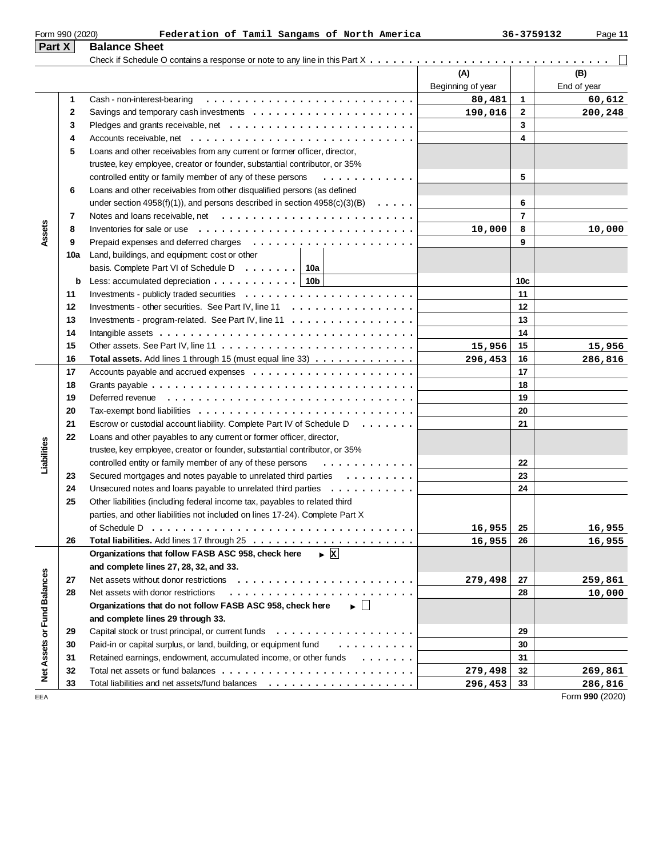|                             | Form 990 (2020) | Federation of Tamil Sangams of North America                                                   |                   | 36-3759132              | Page 11         |
|-----------------------------|-----------------|------------------------------------------------------------------------------------------------|-------------------|-------------------------|-----------------|
| Part X                      |                 | <b>Balance Sheet</b>                                                                           |                   |                         |                 |
|                             |                 |                                                                                                |                   |                         |                 |
|                             |                 |                                                                                                | (A)               |                         | (B)             |
|                             |                 |                                                                                                | Beginning of year |                         | End of year     |
|                             | $\mathbf{1}$    | Cash - non-interest-bearing                                                                    | 80,481            | $\mathbf{1}$            | 60,612          |
|                             | $\mathbf{2}$    |                                                                                                | 190,016           | $\mathbf{2}$            | 200,248         |
|                             | 3               |                                                                                                |                   | 3                       |                 |
|                             | 4               |                                                                                                |                   | $\overline{\mathbf{A}}$ |                 |
|                             | 5               | Loans and other receivables from any current or former officer, director,                      |                   |                         |                 |
|                             |                 | trustee, key employee, creator or founder, substantial contributor, or 35%                     |                   |                         |                 |
|                             |                 | controlled entity or family member of any of these persons<br>.                                |                   | 5                       |                 |
|                             | 6               | Loans and other receivables from other disqualified persons (as defined                        |                   |                         |                 |
|                             |                 | under section 4958(f)(1)), and persons described in section $4958(c)(3)(B) \ldots$ .           |                   | 6                       |                 |
|                             | 7               |                                                                                                |                   | $\overline{7}$          |                 |
|                             | 8               |                                                                                                | 10,000            | 8                       | 10,000          |
| Assets                      | 9               |                                                                                                |                   | 9                       |                 |
|                             | 10a             | Land, buildings, and equipment: cost or other                                                  |                   |                         |                 |
|                             |                 | basis. Complete Part VI of Schedule D $\ldots \ldots$ 10a                                      |                   |                         |                 |
|                             | b               | Less: accumulated depreciation $\ldots \ldots \ldots$   10b                                    |                   | 10 <sub>c</sub>         |                 |
|                             | 11              |                                                                                                |                   | 11                      |                 |
|                             | 12              | Investments - other securities. See Part IV, line 11                                           |                   | 12                      |                 |
|                             | 13              | Investments - program-related. See Part IV, line $11, \ldots, \ldots, \ldots, \ldots, \ldots,$ |                   | 13                      |                 |
|                             | 14              |                                                                                                |                   | 14                      |                 |
|                             | 15              |                                                                                                | 15,956            | 15                      | 15,956          |
|                             | 16              | Total assets. Add lines 1 through 15 (must equal line 33)                                      | 296,453           | 16                      | 286,816         |
|                             | 17              |                                                                                                |                   | 17                      |                 |
|                             | 18              |                                                                                                |                   | 18                      |                 |
|                             | 19              |                                                                                                |                   | 19                      |                 |
|                             | 20              |                                                                                                |                   | 20                      |                 |
|                             | 21              | Escrow or custodial account liability. Complete Part IV of Schedule D                          |                   | 21                      |                 |
|                             | 22              | Loans and other payables to any current or former officer, director,                           |                   |                         |                 |
| Liabilities                 |                 | trustee, key employee, creator or founder, substantial contributor, or 35%                     |                   |                         |                 |
|                             |                 | controlled entity or family member of any of these persons<br>.                                |                   | 22                      |                 |
|                             | 23              | Secured mortgages and notes payable to unrelated third parties                                 |                   | 23                      |                 |
|                             | 24              | Unsecured notes and loans payable to unrelated third parties                                   |                   | 24                      |                 |
|                             | 25              | Other liabilities (including federal income tax, payables to related third                     |                   |                         |                 |
|                             |                 | parties, and other liabilities not included on lines 17-24). Complete Part X                   |                   |                         |                 |
|                             |                 |                                                                                                | 16,955            | 25                      | 16,955          |
|                             | 26              |                                                                                                | 16,955            | 26                      | 16,955          |
|                             |                 | $\triangleright$ X<br>Organizations that follow FASB ASC 958, check here                       |                   |                         |                 |
|                             |                 | and complete lines 27, 28, 32, and 33.                                                         |                   |                         |                 |
|                             | 27              | Net assets without donor restrictions                                                          | 279,498           | 27                      | 259,861         |
|                             | 28              | Net assets with donor restrictions                                                             |                   | 28                      | 10,000          |
|                             |                 | Organizations that do not follow FASB ASC 958, check here<br>$\blacktriangleright \Box$        |                   |                         |                 |
|                             |                 | and complete lines 29 through 33.                                                              |                   |                         |                 |
|                             | 29              |                                                                                                |                   | 29                      |                 |
|                             | 30              | Paid-in or capital surplus, or land, building, or equipment fund<br>.                          |                   | 30                      |                 |
|                             | 31              | Retained earnings, endowment, accumulated income, or other funds                               |                   | 31                      |                 |
| Net Assets or Fund Balances | 32              |                                                                                                | 279,498           | 32                      | 269,861         |
|                             | 33              |                                                                                                | 296,453           | 33                      | 286,816         |
| EEA                         |                 |                                                                                                |                   |                         | Form 990 (2020) |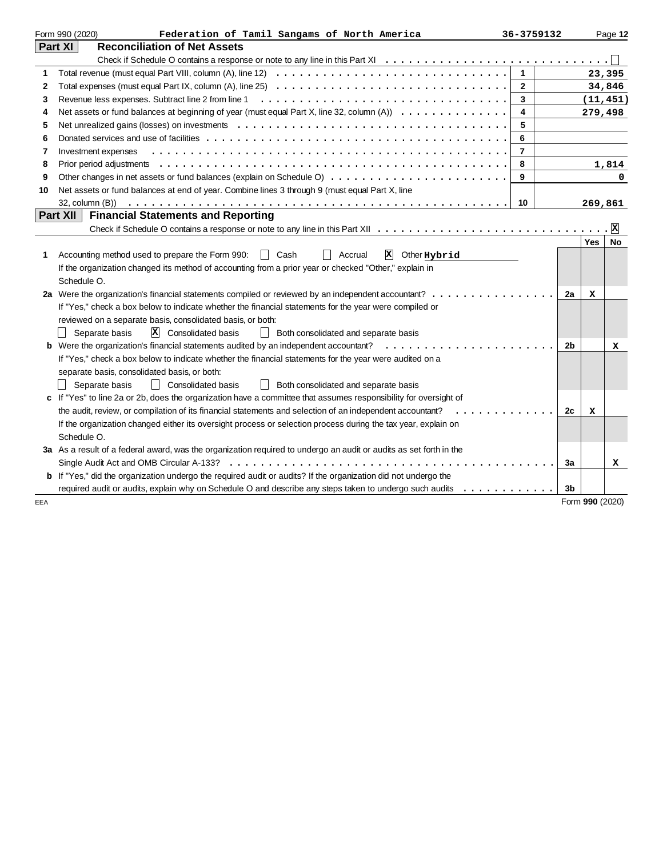|     | Form 990 (2020)<br>Federation of Tamil Sangams of North America<br>36-3759132                                         |                |                |                 | Page 12   |
|-----|-----------------------------------------------------------------------------------------------------------------------|----------------|----------------|-----------------|-----------|
|     | Part XI<br><b>Reconciliation of Net Assets</b>                                                                        |                |                |                 |           |
|     |                                                                                                                       |                |                |                 |           |
| 1   |                                                                                                                       | 1              |                |                 | 23,395    |
| 2   |                                                                                                                       | $\overline{2}$ |                |                 | 34,846    |
| 3   |                                                                                                                       | 3              |                |                 | (11, 451) |
| 4   | Net assets or fund balances at beginning of year (must equal Part X, line 32, column (A)) $\dots \dots \dots \dots$   | 4              |                |                 | 279,498   |
| 5   |                                                                                                                       | 5              |                |                 |           |
| 6   |                                                                                                                       | 6              |                |                 |           |
| 7   | Investment expenses                                                                                                   | $\overline{7}$ |                |                 |           |
| 8   |                                                                                                                       | 8              |                |                 | 1,814     |
| 9   |                                                                                                                       | 9              |                |                 | 0         |
| 10  | Net assets or fund balances at end of year. Combine lines 3 through 9 (must equal Part X, line                        |                |                |                 |           |
|     | 32, column (B))                                                                                                       | 10             |                | 269,861         |           |
|     | Part XII<br><b>Financial Statements and Reporting</b>                                                                 |                |                |                 |           |
|     |                                                                                                                       |                |                |                 |           |
|     |                                                                                                                       |                |                | Yes             | No        |
| 1   | $\overline{X}$ Other Hybrid<br>Accounting method used to prepare the Form 990:<br>Accrual<br>II Cash                  |                |                |                 |           |
|     | If the organization changed its method of accounting from a prior year or checked "Other," explain in                 |                |                |                 |           |
|     | Schedule O.                                                                                                           |                |                |                 |           |
|     | 2a Were the organization's financial statements compiled or reviewed by an independent accountant?                    |                | 2a             | x               |           |
|     | If "Yes," check a box below to indicate whether the financial statements for the year were compiled or                |                |                |                 |           |
|     | reviewed on a separate basis, consolidated basis, or both:                                                            |                |                |                 |           |
|     | $ \mathbf{\overline{X}} $ Consolidated basis<br>Separate basis<br>$\perp$<br>Both consolidated and separate basis     |                |                |                 |           |
|     | <b>b</b> Were the organization's financial statements audited by an independent accountant?<br>.                      |                | 2 <sub>b</sub> |                 | x         |
|     | If "Yes," check a box below to indicate whether the financial statements for the year were audited on a               |                |                |                 |           |
|     | separate basis, consolidated basis, or both:                                                                          |                |                |                 |           |
|     | $\perp$<br><b>Consolidated basis</b><br>Both consolidated and separate basis<br>Separate basis<br>$\perp$             |                |                |                 |           |
|     | c If "Yes" to line 2a or 2b, does the organization have a committee that assumes responsibility for oversight of      |                |                |                 |           |
|     | the audit, review, or compilation of its financial statements and selection of an independent accountant?<br>.        |                | 2c             | x               |           |
|     | If the organization changed either its oversight process or selection process during the tax year, explain on         |                |                |                 |           |
|     | Schedule O.                                                                                                           |                |                |                 |           |
|     | 3a As a result of a federal award, was the organization required to undergo an audit or audits as set forth in the    |                |                |                 |           |
|     | Single Audit Act and OMB Circular A-133?                                                                              |                | 3a             |                 | x         |
|     | <b>b</b> If "Yes," did the organization undergo the required audit or audits? If the organization did not undergo the |                |                |                 |           |
|     | required audit or audits, explain why on Schedule O and describe any steps taken to undergo such audits<br>.          |                | 3 <sub>b</sub> |                 |           |
| EEA |                                                                                                                       |                |                | Form 990 (2020) |           |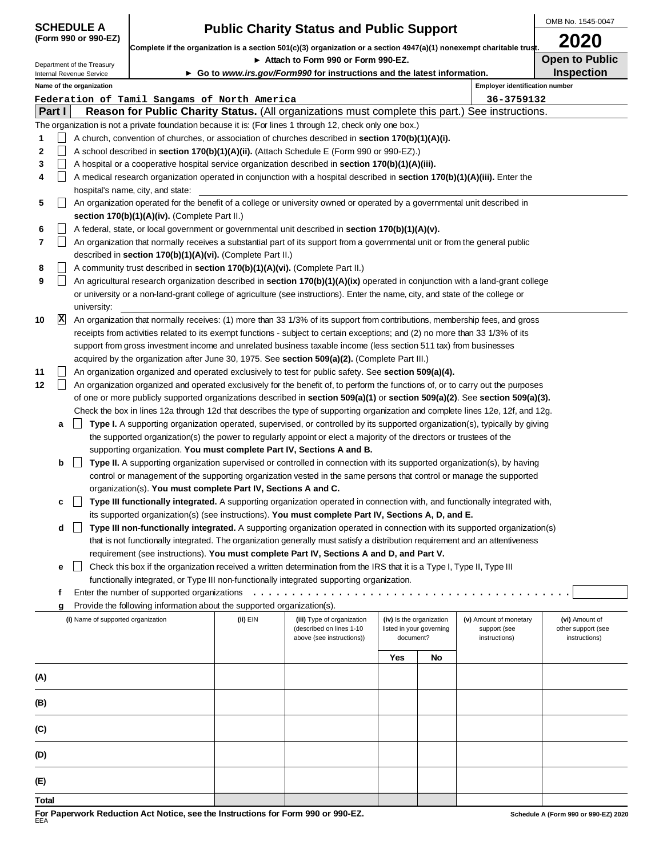| <b>SCHEDULE A</b> |                | <b>Public Charity Status and Public Support</b>                                                   |                                                                              |          |                                                                                                                                                                                                                                                                |                                       | OMB No. 1545-0047 |                                       |                                     |  |  |
|-------------------|----------------|---------------------------------------------------------------------------------------------------|------------------------------------------------------------------------------|----------|----------------------------------------------------------------------------------------------------------------------------------------------------------------------------------------------------------------------------------------------------------------|---------------------------------------|-------------------|---------------------------------------|-------------------------------------|--|--|
|                   |                | (Form 990 or 990-EZ)                                                                              |                                                                              |          | Complete if the organization is a section 501(c)(3) organization or a section 4947(a)(1) nonexempt charitable trust.                                                                                                                                           |                                       |                   |                                       |                                     |  |  |
|                   |                |                                                                                                   |                                                                              |          | 2020<br><b>Open to Public</b>                                                                                                                                                                                                                                  |                                       |                   |                                       |                                     |  |  |
|                   |                | Department of the Treasury                                                                        |                                                                              |          | ► Attach to Form 990 or Form 990-EZ.<br>► Go to www.irs.gov/Form990 for instructions and the latest information.                                                                                                                                               |                                       |                   |                                       |                                     |  |  |
|                   |                | Internal Revenue Service<br>Name of the organization                                              |                                                                              |          |                                                                                                                                                                                                                                                                |                                       |                   | <b>Employer identification number</b> | <b>Inspection</b>                   |  |  |
|                   |                |                                                                                                   | Federation of Tamil Sangams of North America                                 |          |                                                                                                                                                                                                                                                                |                                       |                   | 36-3759132                            |                                     |  |  |
|                   | Part I         |                                                                                                   |                                                                              |          | Reason for Public Charity Status. (All organizations must complete this part.) See instructions.                                                                                                                                                               |                                       |                   |                                       |                                     |  |  |
|                   |                |                                                                                                   |                                                                              |          | The organization is not a private foundation because it is: (For lines 1 through 12, check only one box.)                                                                                                                                                      |                                       |                   |                                       |                                     |  |  |
| 1                 |                |                                                                                                   |                                                                              |          | A church, convention of churches, or association of churches described in <b>section 170(b)(1)(A)(i).</b>                                                                                                                                                      |                                       |                   |                                       |                                     |  |  |
| 2                 | L              |                                                                                                   |                                                                              |          | A school described in section 170(b)(1)(A)(ii). (Attach Schedule E (Form 990 or 990-EZ).)                                                                                                                                                                      |                                       |                   |                                       |                                     |  |  |
| 3                 | $\mathbb{R}^n$ | A hospital or a cooperative hospital service organization described in section 170(b)(1)(A)(iii). |                                                                              |          |                                                                                                                                                                                                                                                                |                                       |                   |                                       |                                     |  |  |
| 4                 | $\mathbb{R}^n$ |                                                                                                   |                                                                              |          | A medical research organization operated in conjunction with a hospital described in section 170(b)(1)(A)(iii). Enter the                                                                                                                                      |                                       |                   |                                       |                                     |  |  |
|                   |                |                                                                                                   | hospital's name, city, and state:                                            |          |                                                                                                                                                                                                                                                                |                                       |                   |                                       |                                     |  |  |
| 5                 |                |                                                                                                   |                                                                              |          | An organization operated for the benefit of a college or university owned or operated by a governmental unit described in                                                                                                                                      |                                       |                   |                                       |                                     |  |  |
|                   |                |                                                                                                   | section 170(b)(1)(A)(iv). (Complete Part II.)                                |          |                                                                                                                                                                                                                                                                |                                       |                   |                                       |                                     |  |  |
| 6                 |                |                                                                                                   |                                                                              |          | A federal, state, or local government or governmental unit described in section 170(b)(1)(A)(v).                                                                                                                                                               |                                       |                   |                                       |                                     |  |  |
| 7                 | $\mathbb{R}^n$ |                                                                                                   |                                                                              |          | An organization that normally receives a substantial part of its support from a governmental unit or from the general public                                                                                                                                   |                                       |                   |                                       |                                     |  |  |
|                   |                |                                                                                                   | described in section 170(b)(1)(A)(vi). (Complete Part II.)                   |          |                                                                                                                                                                                                                                                                |                                       |                   |                                       |                                     |  |  |
| 8                 | $\mathbf{L}$   |                                                                                                   | A community trust described in section 170(b)(1)(A)(vi). (Complete Part II.) |          |                                                                                                                                                                                                                                                                |                                       |                   |                                       |                                     |  |  |
| 9                 | $\mathbb{R}^n$ |                                                                                                   |                                                                              |          | An agricultural research organization described in section 170(b)(1)(A)(ix) operated in conjunction with a land-grant college                                                                                                                                  |                                       |                   |                                       |                                     |  |  |
|                   |                |                                                                                                   |                                                                              |          | or university or a non-land-grant college of agriculture (see instructions). Enter the name, city, and state of the college or                                                                                                                                 |                                       |                   |                                       |                                     |  |  |
|                   |                | university:                                                                                       |                                                                              |          |                                                                                                                                                                                                                                                                |                                       |                   |                                       |                                     |  |  |
| 10                | ÞХ             |                                                                                                   |                                                                              |          | An organization that normally receives: (1) more than 33 1/3% of its support from contributions, membership fees, and gross                                                                                                                                    |                                       |                   |                                       |                                     |  |  |
|                   |                |                                                                                                   |                                                                              |          | receipts from activities related to its exempt functions - subject to certain exceptions; and (2) no more than 33 1/3% of its                                                                                                                                  |                                       |                   |                                       |                                     |  |  |
|                   |                |                                                                                                   |                                                                              |          | support from gross investment income and unrelated business taxable income (less section 511 tax) from businesses                                                                                                                                              |                                       |                   |                                       |                                     |  |  |
|                   |                |                                                                                                   |                                                                              |          | acquired by the organization after June 30, 1975. See section 509(a)(2). (Complete Part III.)                                                                                                                                                                  |                                       |                   |                                       |                                     |  |  |
| 11                | L              |                                                                                                   |                                                                              |          | An organization organized and operated exclusively to test for public safety. See section 509(a)(4).                                                                                                                                                           |                                       |                   |                                       |                                     |  |  |
| 12                | $\mathbb{R}^n$ |                                                                                                   |                                                                              |          | An organization organized and operated exclusively for the benefit of, to perform the functions of, or to carry out the purposes                                                                                                                               |                                       |                   |                                       |                                     |  |  |
|                   |                |                                                                                                   |                                                                              |          | of one or more publicly supported organizations described in section 509(a)(1) or section 509(a)(2). See section 509(a)(3).                                                                                                                                    |                                       |                   |                                       |                                     |  |  |
|                   | a              |                                                                                                   |                                                                              |          | Check the box in lines 12a through 12d that describes the type of supporting organization and complete lines 12e, 12f, and 12g.<br>Type I. A supporting organization operated, supervised, or controlled by its supported organization(s), typically by giving |                                       |                   |                                       |                                     |  |  |
|                   |                |                                                                                                   |                                                                              |          | the supported organization(s) the power to regularly appoint or elect a majority of the directors or trustees of the                                                                                                                                           |                                       |                   |                                       |                                     |  |  |
|                   |                |                                                                                                   |                                                                              |          | supporting organization. You must complete Part IV, Sections A and B.                                                                                                                                                                                          |                                       |                   |                                       |                                     |  |  |
|                   | b              |                                                                                                   |                                                                              |          | Type II. A supporting organization supervised or controlled in connection with its supported organization(s), by having                                                                                                                                        |                                       |                   |                                       |                                     |  |  |
|                   |                |                                                                                                   |                                                                              |          | control or management of the supporting organization vested in the same persons that control or manage the supported                                                                                                                                           |                                       |                   |                                       |                                     |  |  |
|                   |                |                                                                                                   | organization(s). You must complete Part IV, Sections A and C.                |          |                                                                                                                                                                                                                                                                |                                       |                   |                                       |                                     |  |  |
|                   | c              |                                                                                                   |                                                                              |          | Type III functionally integrated. A supporting organization operated in connection with, and functionally integrated with,                                                                                                                                     |                                       |                   |                                       |                                     |  |  |
|                   |                |                                                                                                   |                                                                              |          | its supported organization(s) (see instructions). You must complete Part IV, Sections A, D, and E.                                                                                                                                                             |                                       |                   |                                       |                                     |  |  |
|                   | d              |                                                                                                   |                                                                              |          | Type III non-functionally integrated. A supporting organization operated in connection with its supported organization(s)                                                                                                                                      |                                       |                   |                                       |                                     |  |  |
|                   |                |                                                                                                   |                                                                              |          | that is not functionally integrated. The organization generally must satisfy a distribution requirement and an attentiveness                                                                                                                                   |                                       |                   |                                       |                                     |  |  |
|                   |                |                                                                                                   |                                                                              |          | requirement (see instructions). You must complete Part IV, Sections A and D, and Part V.                                                                                                                                                                       |                                       |                   |                                       |                                     |  |  |
|                   | е              |                                                                                                   |                                                                              |          | Check this box if the organization received a written determination from the IRS that it is a Type I, Type II, Type III                                                                                                                                        |                                       |                   |                                       |                                     |  |  |
|                   |                |                                                                                                   |                                                                              |          | functionally integrated, or Type III non-functionally integrated supporting organization.                                                                                                                                                                      |                                       |                   |                                       |                                     |  |  |
|                   | f              |                                                                                                   |                                                                              |          | Enter the number of supported organizations $\cdots$ , , , , ,                                                                                                                                                                                                 |                                       |                   |                                       |                                     |  |  |
|                   | g              |                                                                                                   | Provide the following information about the supported organization(s).       |          |                                                                                                                                                                                                                                                                |                                       |                   |                                       |                                     |  |  |
|                   |                | (i) Name of supported organization                                                                |                                                                              | (ii) EIN | (iii) Type of organization                                                                                                                                                                                                                                     | (iv) Is the organization              |                   | (v) Amount of monetary                | (vi) Amount of                      |  |  |
|                   |                |                                                                                                   |                                                                              |          | (described on lines 1-10<br>above (see instructions))                                                                                                                                                                                                          | listed in your governing<br>document? |                   | support (see<br>instructions)         | other support (see<br>instructions) |  |  |
|                   |                |                                                                                                   |                                                                              |          |                                                                                                                                                                                                                                                                |                                       |                   |                                       |                                     |  |  |
|                   |                |                                                                                                   |                                                                              |          |                                                                                                                                                                                                                                                                | Yes                                   | No                |                                       |                                     |  |  |
| (A)               |                |                                                                                                   |                                                                              |          |                                                                                                                                                                                                                                                                |                                       |                   |                                       |                                     |  |  |
|                   |                |                                                                                                   |                                                                              |          |                                                                                                                                                                                                                                                                |                                       |                   |                                       |                                     |  |  |
| (B)               |                |                                                                                                   |                                                                              |          |                                                                                                                                                                                                                                                                |                                       |                   |                                       |                                     |  |  |
|                   |                |                                                                                                   |                                                                              |          |                                                                                                                                                                                                                                                                |                                       |                   |                                       |                                     |  |  |
| (C)               |                |                                                                                                   |                                                                              |          |                                                                                                                                                                                                                                                                |                                       |                   |                                       |                                     |  |  |
|                   |                |                                                                                                   |                                                                              |          |                                                                                                                                                                                                                                                                |                                       |                   |                                       |                                     |  |  |
| (D)               |                |                                                                                                   |                                                                              |          |                                                                                                                                                                                                                                                                |                                       |                   |                                       |                                     |  |  |
| (E)               |                |                                                                                                   |                                                                              |          |                                                                                                                                                                                                                                                                |                                       |                   |                                       |                                     |  |  |
|                   |                |                                                                                                   |                                                                              |          |                                                                                                                                                                                                                                                                |                                       |                   |                                       |                                     |  |  |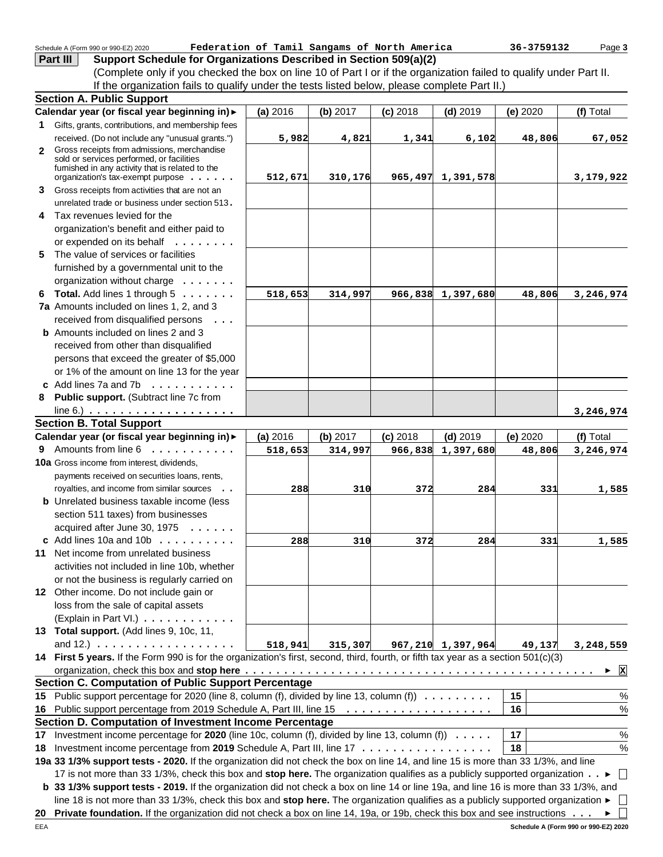|              | Schedule A (Form 990 or 990-EZ) 2020                                                                                                  | Federation of Tamil Sangams of North America |          |            |                             | 36-3759132 | Page 3    |
|--------------|---------------------------------------------------------------------------------------------------------------------------------------|----------------------------------------------|----------|------------|-----------------------------|------------|-----------|
|              | Part III<br>Support Schedule for Organizations Described in Section 509(a)(2)                                                         |                                              |          |            |                             |            |           |
|              | (Complete only if you checked the box on line 10 of Part I or if the organization failed to qualify under Part II.                    |                                              |          |            |                             |            |           |
|              | If the organization fails to qualify under the tests listed below, please complete Part II.)                                          |                                              |          |            |                             |            |           |
|              | <b>Section A. Public Support</b>                                                                                                      |                                              |          |            |                             |            |           |
|              | Calendar year (or fiscal year beginning in) >                                                                                         | (a) 2016                                     | (b) 2017 | $(c)$ 2018 | $(d)$ 2019                  | (e) 2020   | (f) Total |
|              | 1 Gifts, grants, contributions, and membership fees                                                                                   |                                              |          |            |                             |            |           |
|              | received. (Do not include any "unusual grants.")                                                                                      | 5,982                                        | 4,821    | 1,341      | 6,102                       | 48,806     | 67,052    |
| $\mathbf{2}$ | Gross receipts from admissions, merchandise                                                                                           |                                              |          |            |                             |            |           |
|              | sold or services performed, or facilities<br>fumished in any activity that is related to the                                          |                                              |          |            |                             |            |           |
|              | organization's tax-exempt purpose                                                                                                     | 512,671                                      | 310,176  | 965,497    | 1,391,578                   |            | 3,179,922 |
| 3            | Gross receipts from activities that are not an                                                                                        |                                              |          |            |                             |            |           |
|              | unrelated trade or business under section 513.                                                                                        |                                              |          |            |                             |            |           |
| 4            | Tax revenues levied for the                                                                                                           |                                              |          |            |                             |            |           |
|              | organization's benefit and either paid to                                                                                             |                                              |          |            |                             |            |           |
|              | or expended on its behalf                                                                                                             |                                              |          |            |                             |            |           |
| 5            | The value of services or facilities                                                                                                   |                                              |          |            |                             |            |           |
|              | furnished by a governmental unit to the                                                                                               |                                              |          |            |                             |            |           |
|              | organization without charge                                                                                                           |                                              |          |            |                             |            |           |
|              | 6 Total. Add lines 1 through $5 \ldots \ldots$                                                                                        | 518,653                                      | 314,997  |            | $966,838$ 1,397,680         | 48,806     | 3,246,974 |
|              | 7a Amounts included on lines 1, 2, and 3                                                                                              |                                              |          |            |                             |            |           |
|              | received from disqualified persons<br>$\ldots$ .                                                                                      |                                              |          |            |                             |            |           |
|              | <b>b</b> Amounts included on lines 2 and 3                                                                                            |                                              |          |            |                             |            |           |
|              | received from other than disqualified                                                                                                 |                                              |          |            |                             |            |           |
|              | persons that exceed the greater of \$5,000                                                                                            |                                              |          |            |                             |            |           |
|              | or 1% of the amount on line 13 for the year                                                                                           |                                              |          |            |                             |            |           |
|              | c Add lines 7a and 7b $\ldots$                                                                                                        |                                              |          |            |                             |            |           |
| 8            | <b>Public support.</b> (Subtract line 7c from                                                                                         |                                              |          |            |                             |            |           |
|              | line 6.) $\ldots \ldots \ldots \ldots \ldots \ldots$                                                                                  |                                              |          |            |                             |            | 3,246,974 |
|              | <b>Section B. Total Support</b>                                                                                                       |                                              |          |            |                             |            |           |
|              | Calendar year (or fiscal year beginning in) >                                                                                         | (a) 2016                                     | (b) 2017 | $(c)$ 2018 | $(d)$ 2019                  | (e) 2020   | (f) Total |
|              | 9 Amounts from line 6                                                                                                                 | 518,653                                      | 314,997  | 966,838    | 1,397,680                   | 48,806     | 3,246,974 |
|              | 10a Gross income from interest, dividends,                                                                                            |                                              |          |            |                             |            |           |
|              | payments received on securities loans, rents,                                                                                         |                                              |          |            |                             |            |           |
|              | royalties, and income from similar sources<br>$\ddots$                                                                                | 288                                          | 310      | 372        | 284                         | 331        | 1,585     |
|              | <b>b</b> Unrelated business taxable income (less                                                                                      |                                              |          |            |                             |            |           |
|              | section 511 taxes) from businesses                                                                                                    |                                              |          |            |                             |            |           |
|              | acquired after June 30, 1975                                                                                                          |                                              |          |            |                             |            |           |
|              | c Add lines 10a and 10b $\ldots \ldots \ldots$                                                                                        | 288                                          | 310      | 372        | 284                         | 331        | 1,585     |
|              | 11 Net income from unrelated business                                                                                                 |                                              |          |            |                             |            |           |
|              | activities not included in line 10b, whether                                                                                          |                                              |          |            |                             |            |           |
|              | or not the business is regularly carried on                                                                                           |                                              |          |            |                             |            |           |
|              | 12 Other income. Do not include gain or                                                                                               |                                              |          |            |                             |            |           |
|              | loss from the sale of capital assets                                                                                                  |                                              |          |            |                             |            |           |
|              | (Explain in Part VI.)                                                                                                                 |                                              |          |            |                             |            |           |
|              | 13 Total support. (Add lines 9, 10c, 11,                                                                                              |                                              |          |            |                             |            |           |
|              | and 12.) $\ldots \ldots \ldots \ldots \ldots$                                                                                         | 518,941                                      | 315,307  |            | $967, 210 \mid 1, 397, 964$ | 49,137     | 3,248,559 |
|              | 14 First 5 years. If the Form 990 is for the organization's first, second, third, fourth, or fifth tax year as a section 501(c)(3)    |                                              |          |            |                             |            |           |
|              |                                                                                                                                       |                                              |          |            |                             |            | ⋈         |
|              | <b>Section C. Computation of Public Support Percentage</b>                                                                            |                                              |          |            |                             |            |           |
|              | 15 Public support percentage for 2020 (line 8, column (f), divided by line 13, column (f))                                            |                                              |          |            |                             | 15         | $\%$      |
|              |                                                                                                                                       |                                              |          |            |                             | 16         | $\%$      |
|              | Section D. Computation of Investment Income Percentage                                                                                |                                              |          |            |                             |            |           |
| 17           | Investment income percentage for 2020 (line 10c, column (f), divided by line 13, column (f) $\ldots \ldots$                           |                                              |          |            |                             | 17         | $\%$      |
|              | 18 Investment income percentage from 2019 Schedule A, Part III, line 17                                                               |                                              |          |            |                             | 18         | %         |
|              | 19a 33 1/3% support tests - 2020. If the organization did not check the box on line 14, and line 15 is more than 33 1/3%, and line    |                                              |          |            |                             |            |           |
|              | 17 is not more than 33 1/3%, check this box and stop here. The organization qualifies as a publicly supported organization ►          |                                              |          |            |                             |            |           |
|              | b 33 1/3% support tests - 2019. If the organization did not check a box on line 14 or line 19a, and line 16 is more than 33 1/3%, and |                                              |          |            |                             |            | $\perp$   |
|              | line 18 is not more than 33 1/3%, check this box and stop here. The organization qualifies as a publicly supported organization ►     |                                              |          |            |                             |            |           |
|              | 20 Private foundation. If the organization did not check a box on line 14, 19a, or 19b, check this box and see instructions ►         |                                              |          |            |                             |            |           |
|              |                                                                                                                                       |                                              |          |            |                             |            |           |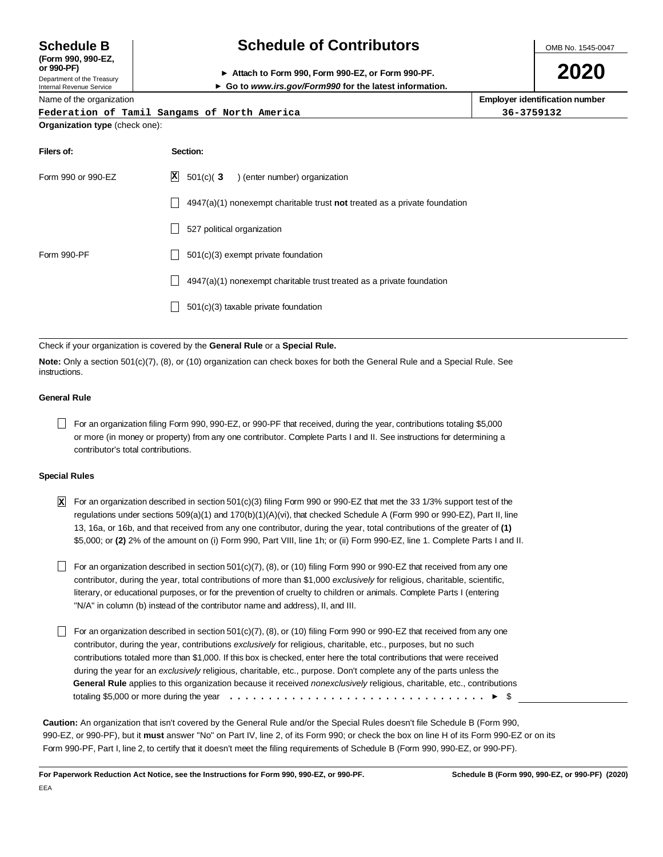**(Form 990, 990-EZ,** Department of the Treasury

# **Schedule B Schedule of Contributors**

OMB No. 1545-0047

| or 990-PF)                 | Attach to Form 990. Form 990-EZ, or Form 990-PF.                       |
|----------------------------|------------------------------------------------------------------------|
| Department of the Treasury |                                                                        |
| Internal Revenue Service   | $\triangleright$ Go to www.irs.gov/Form990 for the latest information. |

**2020**

**Employer identification number**

**Federation of Tamil Sangams of North America 36-3759132**

| Internal Revenue Service |  |
|--------------------------|--|
| Nomo of the ergenization |  |

Name of the organization

| Federation of Tamil Sangams of North America |
|----------------------------------------------|
|----------------------------------------------|

#### **Organization type** (check one):

| Filers of:         | Section:                                                                           |
|--------------------|------------------------------------------------------------------------------------|
| Form 990 or 990-EZ | $ \mathbf{X} $ 501(c)(3) (enter number) organization                               |
|                    | $4947(a)(1)$ nonexempt charitable trust <b>not</b> treated as a private foundation |
|                    | 527 political organization                                                         |
| Form 990-PF        | 501(c)(3) exempt private foundation                                                |
|                    | 4947(a)(1) nonexempt charitable trust treated as a private foundation              |
|                    | $501(c)(3)$ taxable private foundation                                             |

#### Check if your organization is covered by the **General Rule** or a **Special Rule.**

**Note:** Only a section 501(c)(7), (8), or (10) organization can check boxes for both the General Rule and a Special Rule. See instructions.

#### **General Rule**

For an organization filing Form 990, 990-EZ, or 990-PF that received, during the year, contributions totaling \$5,000 or more (in money or property) from any one contributor. Complete Parts I and II. See instructions for determining a contributor's total contributions.

#### **Special Rules**

 $\underline{x}$  For an organization described in section 501(c)(3) filing Form 990 or 990-EZ that met the 33 1/3% support test of the regulations under sections 509(a)(1) and 170(b)(1)(A)(vi), that checked Schedule A (Form 990 or 990-EZ), Part II, line 13, 16a, or 16b, and that received from any one contributor, during the year, total contributions of the greater of **(1)** \$5,000; or **(2)** 2% of the amount on (i) Form 990, Part VIII, line 1h; or (ii) Form 990-EZ, line 1. Complete Parts I and II.

For an organization described in section 501(c)(7),  $(8)$ , or (10) filing Form 990 or 990-EZ that received from any one contributor, during the year, total contributions of more than \$1,000 exclusively for religious, charitable, scientific, literary, or educational purposes, or for the prevention of cruelty to children or animals. Complete Parts I (entering "N/A" in column (b) instead of the contributor name and address), II, and III.

For an organization described in section 501(c)(7),  $(8)$ , or (10) filing Form 990 or 990-EZ that received from any one contributor, during the year, contributions exclusively for religious, charitable, etc., purposes, but no such contributions totaled more than \$1,000. If this box is checked, enter here the total contributions that were received during the year for an exclusively religious, charitable, etc., purpose. Don't complete any of the parts unless the **General Rule** applies to this organization because it received nonexclusively religious, charitable, etc., contributions totaling \$5,000 or more during the year \$ .................................

**Caution:** An organization that isn't covered by the General Rule and/or the Special Rules doesn't file Schedule B (Form 990, 990-EZ, or 990-PF), but it **must** answer "No" on Part IV, line 2, of its Form 990; or check the box on line H of its Form 990-EZ or on its Form 990-PF, Part I, line 2, to certify that it doesn't meet the filing requirements of Schedule B (Form 990, 990-EZ, or 990-PF).

**For Paperwork Reduction Act Notice, see the Instructions for Form 990, 990-EZ, or 990-PF. Schedule B (Form 990, 990-EZ, or 990-PF) (2020)**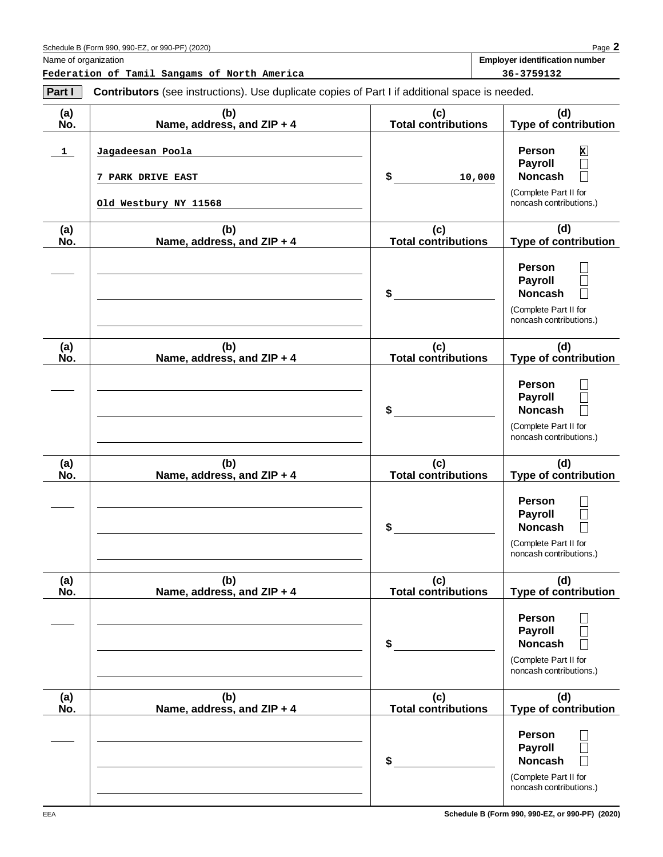EEA

 $\overline{\phantom{0}}$ 

| Schedule B (Form 990,<br>.990-EZ<br>(2020)<br>$-$ , or 990-PF | Page                                 |
|---------------------------------------------------------------|--------------------------------------|
| Name of<br>organization                                       | identification<br>number<br>Emplover |

**Federation of Tamil Sangams of North America 36-3759132**

| Part I       | <b>Contributors</b> (see instructions). Use duplicate copies of Part I if additional space is needed. |                                   |                                                                                                                                                         |
|--------------|-------------------------------------------------------------------------------------------------------|-----------------------------------|---------------------------------------------------------------------------------------------------------------------------------------------------------|
| (a)<br>No.   | (b)<br>Name, address, and ZIP + 4                                                                     | (c)<br><b>Total contributions</b> | (d)<br><b>Type of contribution</b>                                                                                                                      |
| $\mathbf{1}$ | Jagadeesan Poola<br>7 PARK DRIVE EAST<br>Old Westbury NY 11568                                        | \$<br>10,000                      | <b>Person</b><br>$\mathbf x$<br><b>Payroll</b><br>$\Box$<br><b>Noncash</b><br>П<br>(Complete Part II for<br>noncash contributions.)                     |
| (a)<br>No.   | (b)<br>Name, address, and ZIP + 4                                                                     | (c)<br><b>Total contributions</b> | (d)<br><b>Type of contribution</b>                                                                                                                      |
|              |                                                                                                       | \$                                | <b>Person</b><br>$\mathbf{I}$<br><b>Payroll</b><br>$\Box$<br><b>Noncash</b><br>П<br>(Complete Part II for<br>noncash contributions.)                    |
| (a)<br>No.   | (b)<br>Name, address, and ZIP + 4                                                                     | (c)<br><b>Total contributions</b> | (d)<br><b>Type of contribution</b>                                                                                                                      |
|              |                                                                                                       | \$                                | <b>Person</b><br>$\mathbf{I}$<br><b>Payroll</b><br>$\Box$<br><b>Noncash</b><br>П<br>(Complete Part II for<br>noncash contributions.)                    |
| (a)<br>No.   | (b)<br>Name, address, and ZIP + 4                                                                     | (c)<br><b>Total contributions</b> | (d)<br><b>Type of contribution</b>                                                                                                                      |
|              |                                                                                                       | \$                                | <b>Person</b><br>$\mathcal{L}$<br><b>Payroll</b><br>$\overline{\phantom{a}}$<br><b>Noncash</b><br>П<br>(Complete Part II for<br>noncash contributions.) |
| (a)<br>No.   | (b)<br>Name, address, and ZIP + 4                                                                     | (c)<br><b>Total contributions</b> | (d)<br><b>Type of contribution</b>                                                                                                                      |
|              |                                                                                                       | \$                                | <b>Person</b><br><b>Payroll</b><br><b>Noncash</b><br>(Complete Part II for<br>noncash contributions.)                                                   |
| (a)<br>No.   | (b)<br>Name, address, and ZIP + 4                                                                     | (c)<br><b>Total contributions</b> | (d)<br><b>Type of contribution</b>                                                                                                                      |
|              |                                                                                                       | \$                                | <b>Person</b><br><b>Payroll</b><br><b>Noncash</b><br>(Complete Part II for<br>noncash contributions.)                                                   |

**Employer identification number** 

**Schedule B (Form 990, 990-EZ, or 990-PF) (2020)**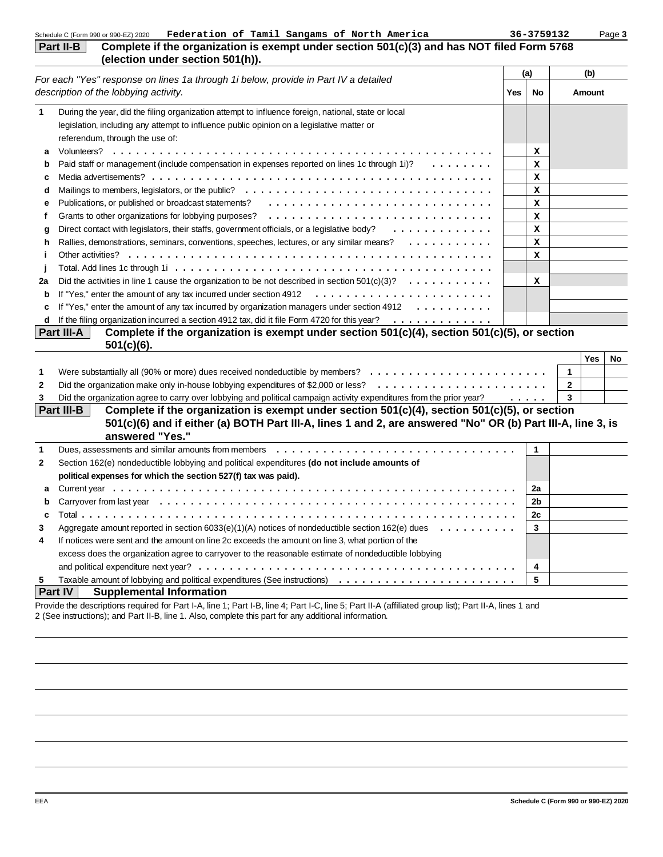| Schedule C (Form 990 or 990-EZ) 2020 Federation of Tamil Sangams of North America |  |  |  |  | 36-3759132 |
|-----------------------------------------------------------------------------------|--|--|--|--|------------|
|-----------------------------------------------------------------------------------|--|--|--|--|------------|

## **Part II-B Complete if the organization is exempt under section 501(c)(3) and has NOT filed Form 5768 (election under section 501(h)).**

|    | For each "Yes" response on lines 1a through 1i below, provide in Part IV a detailed                                                                          |            | (a)         |                | (b)        |           |  |
|----|--------------------------------------------------------------------------------------------------------------------------------------------------------------|------------|-------------|----------------|------------|-----------|--|
|    | description of the lobbying activity.                                                                                                                        | <b>Yes</b> | No          |                | Amount     |           |  |
| 1  | During the year, did the filing organization attempt to influence foreign, national, state or local                                                          |            |             |                |            |           |  |
|    | legislation, including any attempt to influence public opinion on a legislative matter or                                                                    |            |             |                |            |           |  |
|    | referendum, through the use of:                                                                                                                              |            |             |                |            |           |  |
| а  |                                                                                                                                                              |            | x           |                |            |           |  |
| b  | Paid staff or management (include compensation in expenses reported on lines 1c through 1i)?<br>.                                                            |            | x           |                |            |           |  |
| c  |                                                                                                                                                              |            | $\mathbf x$ |                |            |           |  |
| d  |                                                                                                                                                              |            | $\mathbf x$ |                |            |           |  |
| е  | Publications, or published or broadcast statements?                                                                                                          |            | X           |                |            |           |  |
| f  | Grants to other organizations for lobbying purposes?                                                                                                         |            | $\mathbf x$ |                |            |           |  |
| a  | Direct contact with legislators, their staffs, government officials, or a legislative body?                                                                  |            | $\mathbf x$ |                |            |           |  |
|    | Rallies, demonstrations, seminars, conventions, speeches, lectures, or any similar means?                                                                    |            | $\mathbf x$ |                |            |           |  |
|    |                                                                                                                                                              |            | $\mathbf x$ |                |            |           |  |
|    |                                                                                                                                                              |            |             |                |            |           |  |
| 2а | Did the activities in line 1 cause the organization to be not described in section $501(c)(3)$ ?                                                             |            | $\mathbf x$ |                |            |           |  |
| b  |                                                                                                                                                              |            |             |                |            |           |  |
| C  | If "Yes," enter the amount of any tax incurred by organization managers under section 4912                                                                   |            |             |                |            |           |  |
| d  | If the filing organization incurred a section 4912 tax, did it file Form 4720 for this year?                                                                 |            |             |                |            |           |  |
|    | Complete if the organization is exempt under section $501(c)(4)$ , section $501(c)(5)$ , or section<br><b>Part III-A</b>                                     |            |             |                |            |           |  |
|    | $501(c)(6)$ .                                                                                                                                                |            |             |                |            |           |  |
|    |                                                                                                                                                              |            |             |                | <b>Yes</b> | <b>No</b> |  |
| 1  |                                                                                                                                                              |            |             | $\overline{1}$ |            |           |  |
| 2  | Did the organization make only in-house lobbying expenditures of \$2,000 or less? $\ldots$ , $\ldots$ , $\ldots$ , $\ldots$ , $\ldots$ , $\ldots$ , $\ldots$ |            |             | $\mathbf{2}$   |            |           |  |
| 3  | Did the organization agree to carry over lobbying and political campaign activity expenditures from the prior year?                                          |            |             | 3              |            |           |  |
|    | Complete if the organization is exempt under section $501(c)(4)$ , section $501(c)(5)$ , or section<br>Part III-B                                            |            |             |                |            |           |  |
|    | 501(c)(6) and if either (a) BOTH Part III-A, lines 1 and 2, are answered "No" OR (b) Part III-A, line 3, is                                                  |            |             |                |            |           |  |
|    | answered "Yes."                                                                                                                                              |            |             |                |            |           |  |
| 1  |                                                                                                                                                              |            | 1           |                |            |           |  |

|              | <b>Supplemental Information</b><br>Part IV                                                                                    |                |  |
|--------------|-------------------------------------------------------------------------------------------------------------------------------|----------------|--|
| 5.           | Taxable amount of lobbying and political expenditures (See instructions) $\dots\dots\dots\dots\dots\dots\dots\dots\dots\dots$ | 5              |  |
|              |                                                                                                                               | 4              |  |
|              | excess does the organization agree to carryover to the reasonable estimate of nondeductible lobbying                          |                |  |
| 4            | If notices were sent and the amount on line 2c exceeds the amount on line 3, what portion of the                              |                |  |
| 3            | Aggregate amount reported in section $6033(e)(1)(A)$ notices of nondeductible section $162(e)$ dues                           | 3              |  |
|              |                                                                                                                               | 2c             |  |
|              |                                                                                                                               | 2 <sub>b</sub> |  |
|              |                                                                                                                               | 2a             |  |
|              | political expenses for which the section 527(f) tax was paid).                                                                |                |  |
| $\mathbf{2}$ | Section 162(e) nondeductible lobbying and political expenditures (do not include amounts of                                   |                |  |
|              |                                                                                                                               |                |  |

Provide the descriptions required for Part I-A, line 1; Part I-B, line 4; Part I-C, line 5; Part II-A (affiliated group list); Part II-A, lines 1 and 2 (See instructions); and Part II-B, line 1. Also, complete this part for any additional information.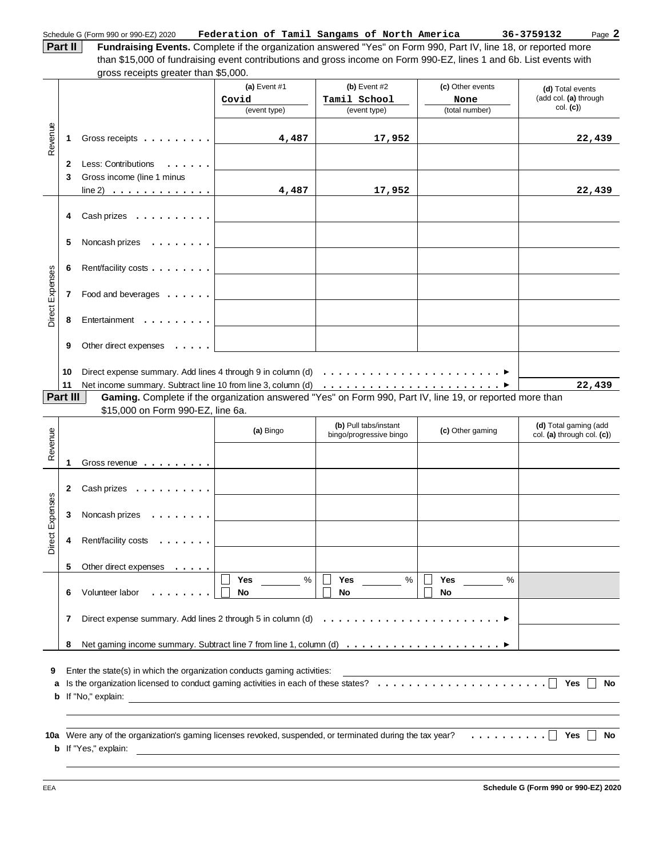| Schedule G (Form 990 or 990-EZ) 2020 | Federation of Tamil Sangams of North America |  |  |  |  | 36-3759132 | Page |
|--------------------------------------|----------------------------------------------|--|--|--|--|------------|------|
|--------------------------------------|----------------------------------------------|--|--|--|--|------------|------|

**2**

**Fundraising Events.** Complete if the organization answered "Yes" on Form 990, Part IV, line 18, or reported more than \$15,000 of fundraising event contributions and gross income on Form 990-EZ, lines 1 and 6b. List events with gross receipts greater than \$5,000. **Part II**

|                 |                | gross receipts greater than \$5,000.                                                                                 |                |                         |                  |                            |
|-----------------|----------------|----------------------------------------------------------------------------------------------------------------------|----------------|-------------------------|------------------|----------------------------|
|                 |                |                                                                                                                      | (a) Event $#1$ | (b) Event $#2$          | (c) Other events | (d) Total events           |
|                 |                |                                                                                                                      | Covid          | Tamil School            | None             | (add col. (a) through      |
|                 |                |                                                                                                                      | (event type)   | (event type)            | (total number)   | col. (c)                   |
|                 |                |                                                                                                                      |                |                         |                  |                            |
| Revenue         | 1              | Gross receipts                                                                                                       | 4,487          | 17,952                  |                  | 22,439                     |
|                 |                |                                                                                                                      |                |                         |                  |                            |
|                 | $\mathbf{2}$   | Less: Contributions<br>$\cdots$                                                                                      |                |                         |                  |                            |
|                 | 3              | Gross income (line 1 minus                                                                                           |                |                         |                  |                            |
|                 |                | $line 2)$                                                                                                            | 4,487          | 17,952                  |                  | 22,439                     |
|                 |                |                                                                                                                      |                |                         |                  |                            |
|                 | 4              | Cash prizes                                                                                                          |                |                         |                  |                            |
|                 |                |                                                                                                                      |                |                         |                  |                            |
|                 | 5              | Noncash prizes                                                                                                       |                |                         |                  |                            |
|                 |                |                                                                                                                      |                |                         |                  |                            |
|                 | 6              | Rent/facility costs                                                                                                  |                |                         |                  |                            |
|                 |                |                                                                                                                      |                |                         |                  |                            |
|                 | 7              | Food and beverages                                                                                                   |                |                         |                  |                            |
| Direct Expenses |                |                                                                                                                      |                |                         |                  |                            |
|                 | 8              | Entertainment                                                                                                        |                |                         |                  |                            |
|                 |                |                                                                                                                      |                |                         |                  |                            |
|                 | 9              | Other direct expenses                                                                                                |                |                         |                  |                            |
|                 |                |                                                                                                                      |                |                         |                  |                            |
|                 | 10             |                                                                                                                      |                |                         |                  |                            |
|                 | 11<br>Part III | Gaming. Complete if the organization answered "Yes" on Form 990, Part IV, line 19, or reported more than             |                |                         |                  | 22,439                     |
|                 |                | \$15,000 on Form 990-EZ, line 6a.                                                                                    |                |                         |                  |                            |
|                 |                |                                                                                                                      |                | (b) Pull tabs/instant   |                  |                            |
|                 |                |                                                                                                                      |                |                         |                  |                            |
|                 |                |                                                                                                                      | (a) Bingo      | bingo/progressive bingo | (c) Other gaming | (d) Total gaming (add      |
|                 |                |                                                                                                                      |                |                         |                  | col. (a) through col. (c)) |
| Revenue         |                |                                                                                                                      |                |                         |                  |                            |
|                 | 1              | Gross revenue                                                                                                        |                |                         |                  |                            |
|                 | $\mathbf{2}$   |                                                                                                                      |                |                         |                  |                            |
|                 |                | Cash prizes                                                                                                          |                |                         |                  |                            |
|                 | 3              | Noncash prizes                                                                                                       |                |                         |                  |                            |
|                 |                |                                                                                                                      |                |                         |                  |                            |
|                 | 4              | Rent/facility costs                                                                                                  |                |                         |                  |                            |
| Direct Expenses |                |                                                                                                                      |                |                         |                  |                            |
|                 | 5              | Other direct expenses<br>$\cdots$                                                                                    |                |                         |                  |                            |
|                 |                |                                                                                                                      | $\%$<br>Yes    | Yes<br>$\%$             | %<br>Yes         |                            |
|                 | 6              | Volunteer labor                                                                                                      | No             | No                      | No               |                            |
|                 |                |                                                                                                                      |                |                         |                  |                            |
|                 | 7              |                                                                                                                      |                |                         |                  |                            |
|                 |                |                                                                                                                      |                |                         |                  |                            |
|                 | 8              | Net gaming income summary. Subtract line 7 from line 1, column (d) $\dots \dots \dots \dots \dots \dots \dots \dots$ |                |                         |                  |                            |
|                 |                |                                                                                                                      |                |                         |                  |                            |
| 9               |                | Enter the state(s) in which the organization conducts gaming activities:                                             |                |                         |                  |                            |
|                 |                |                                                                                                                      |                |                         |                  | <b>Yes</b><br>No           |
| b               |                | If "No," explain:                                                                                                    |                |                         |                  |                            |
|                 |                |                                                                                                                      |                |                         |                  |                            |
|                 |                |                                                                                                                      |                |                         |                  |                            |
|                 |                | 10a Were any of the organization's gaming licenses revoked, suspended, or terminated during the tax year?            |                |                         | .                | Yes<br>No                  |
|                 |                | <b>b</b> If "Yes," explain:                                                                                          |                |                         |                  |                            |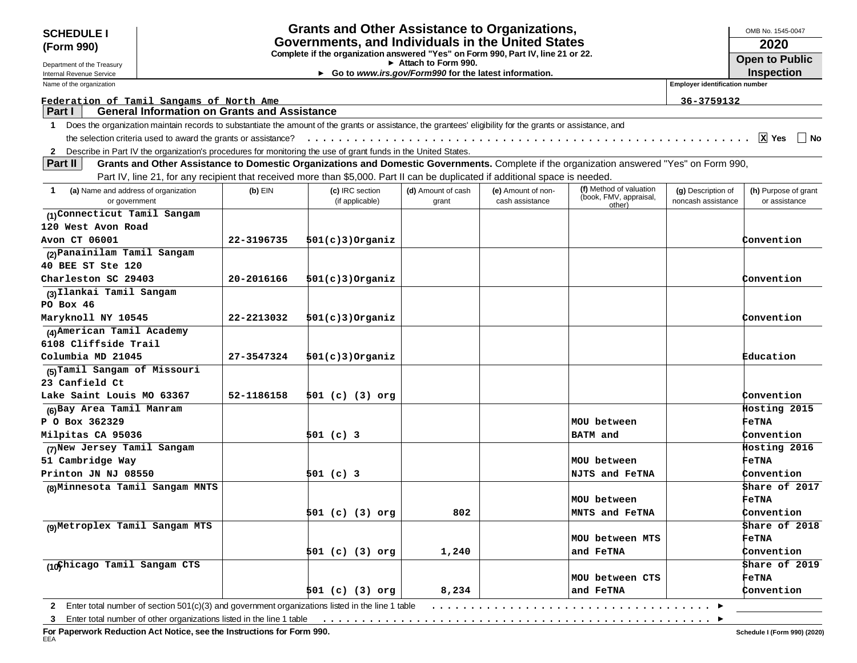| <b>SCHEDULE I</b>                                                                                                                                                         |            | <b>Grants and Other Assistance to Organizations,</b>                             |                     |                    |                                  |                                       | OMB No. 1545-0047     |
|---------------------------------------------------------------------------------------------------------------------------------------------------------------------------|------------|----------------------------------------------------------------------------------|---------------------|--------------------|----------------------------------|---------------------------------------|-----------------------|
| (Form 990)                                                                                                                                                                |            | Governments, and Individuals in the United States                                |                     |                    |                                  |                                       | 2020                  |
| Department of the Treasury                                                                                                                                                |            | Complete if the organization answered "Yes" on Form 990, Part IV, line 21 or 22. | Attach to Form 990. |                    |                                  |                                       | <b>Open to Public</b> |
| Internal Revenue Service                                                                                                                                                  |            | ► Go to www.irs.gov/Form990 for the latest information.                          |                     |                    |                                  |                                       | <b>Inspection</b>     |
| Name of the organization                                                                                                                                                  |            |                                                                                  |                     |                    |                                  | <b>Employer identification number</b> |                       |
| Federation of Tamil Sangams of North Ame                                                                                                                                  |            |                                                                                  |                     |                    |                                  | 36-3759132                            |                       |
| <b>General Information on Grants and Assistance</b><br>Part I                                                                                                             |            |                                                                                  |                     |                    |                                  |                                       |                       |
| Does the organization maintain records to substantiate the amount of the grants or assistance, the grantees' eligibility for the grants or assistance, and<br>$\mathbf 1$ |            |                                                                                  |                     |                    |                                  |                                       |                       |
| the selection criteria used to award the grants or assistance?                                                                                                            |            |                                                                                  |                     |                    |                                  |                                       | X Yes<br>∣ ∣No        |
| 2 Describe in Part IV the organization's procedures for monitoring the use of grant funds in the United States.                                                           |            |                                                                                  |                     |                    |                                  |                                       |                       |
| Grants and Other Assistance to Domestic Organizations and Domestic Governments. Complete if the organization answered "Yes" on Form 990,<br>Part II                       |            |                                                                                  |                     |                    |                                  |                                       |                       |
| Part IV, line 21, for any recipient that received more than \$5,000. Part II can be duplicated if additional space is needed.                                             |            |                                                                                  |                     |                    |                                  |                                       |                       |
| (a) Name and address of organization<br>1                                                                                                                                 | $(b)$ EIN  | (c) IRC section                                                                  | (d) Amount of cash  | (e) Amount of non- | (f) Method of valuation          | (g) Description of                    | (h) Purpose of grant  |
| or government                                                                                                                                                             |            | (if applicable)                                                                  | grant               | cash assistance    | (book, FMV, appraisal,<br>other) | noncash assistance                    | or assistance         |
| (1) Connecticut Tamil Sangam                                                                                                                                              |            |                                                                                  |                     |                    |                                  |                                       |                       |
| 120 West Avon Road                                                                                                                                                        |            |                                                                                  |                     |                    |                                  |                                       |                       |
| Avon CT 06001                                                                                                                                                             | 22-3196735 | $501(c)30$ rganiz                                                                |                     |                    |                                  |                                       | Convention            |
| (2) Panainilam Tamil Sangam                                                                                                                                               |            |                                                                                  |                     |                    |                                  |                                       |                       |
| 40 BEE ST Ste 120                                                                                                                                                         |            |                                                                                  |                     |                    |                                  |                                       |                       |
| Charleston SC 29403                                                                                                                                                       | 20-2016166 | $501(c)3)$ Organiz                                                               |                     |                    |                                  |                                       | Convention            |
| (3) Ilankai Tamil Sangam                                                                                                                                                  |            |                                                                                  |                     |                    |                                  |                                       |                       |
| $PO$ Box 46                                                                                                                                                               |            |                                                                                  |                     |                    |                                  |                                       |                       |
| Maryknoll NY 10545                                                                                                                                                        | 22-2213032 | $501(c)3)$ Organiz                                                               |                     |                    |                                  |                                       | Convention            |
| (4) American Tamil Academy                                                                                                                                                |            |                                                                                  |                     |                    |                                  |                                       |                       |
| 6108 Cliffside Trail                                                                                                                                                      |            |                                                                                  |                     |                    |                                  |                                       |                       |
| Columbia MD 21045                                                                                                                                                         | 27-3547324 | $501(c)3)$ Organiz                                                               |                     |                    |                                  |                                       | Education             |
| (5) Tamil Sangam of Missouri                                                                                                                                              |            |                                                                                  |                     |                    |                                  |                                       |                       |
| 23 Canfield Ct                                                                                                                                                            |            |                                                                                  |                     |                    |                                  |                                       |                       |
| Lake Saint Louis MO 63367                                                                                                                                                 | 52-1186158 | 501 (c) (3) org                                                                  |                     |                    |                                  |                                       | Convention            |
| (6) Bay Area Tamil Manram                                                                                                                                                 |            |                                                                                  |                     |                    |                                  |                                       | Hosting 2015          |
| P O Box 362329                                                                                                                                                            |            |                                                                                  |                     |                    | MOU between                      |                                       | <b>FeTNA</b>          |
| Milpitas CA 95036                                                                                                                                                         |            | $501$ (c) 3                                                                      |                     |                    | BATM and                         |                                       | Convention            |
| (7) New Jersey Tamil Sangam                                                                                                                                               |            |                                                                                  |                     |                    |                                  |                                       | Hosting 2016          |
| 51 Cambridge Way                                                                                                                                                          |            |                                                                                  |                     |                    | MOU between                      |                                       | <b>FeTNA</b>          |
| Printon JN NJ 08550                                                                                                                                                       |            | $501$ (c) 3                                                                      |                     |                    | NJTS and FeTNA                   |                                       | Convention            |
| (8) Minnesota Tamil Sangam MNTS                                                                                                                                           |            |                                                                                  |                     |                    |                                  |                                       | Share of 2017         |
|                                                                                                                                                                           |            |                                                                                  |                     |                    | MOU between                      |                                       | <b>FeTNA</b>          |
|                                                                                                                                                                           |            | $501$ (c) (3) org                                                                | 802                 |                    | MNTS and FeTNA                   |                                       | Convention            |
| (9) Metroplex Tamil Sangam MTS                                                                                                                                            |            |                                                                                  |                     |                    |                                  |                                       | Share of 2018         |
|                                                                                                                                                                           |            |                                                                                  |                     |                    | MOU between MTS                  |                                       | FeTNA                 |
|                                                                                                                                                                           |            | $501$ (c) (3) org                                                                | 1,240               |                    | and FeTNA                        |                                       | Convention            |
| (10 Chicago Tamil Sangam CTS                                                                                                                                              |            |                                                                                  |                     |                    |                                  |                                       | Share of 2019         |
|                                                                                                                                                                           |            |                                                                                  |                     |                    | MOU between CTS                  |                                       | FeTNA                 |
|                                                                                                                                                                           |            | $501$ (c) (3) org                                                                | 8,234               |                    | and FeTNA                        |                                       | Convention            |
| 2 Enter total number of section $501(c)(3)$ and government organizations listed in the line 1 table                                                                       |            |                                                                                  |                     |                    |                                  | ▸                                     |                       |

**3** Enter total number of other organizations listed in the line 1 table ..................................................

**For Paperwork Reduction Act Notice, see the Instructions for Form 990.** EEA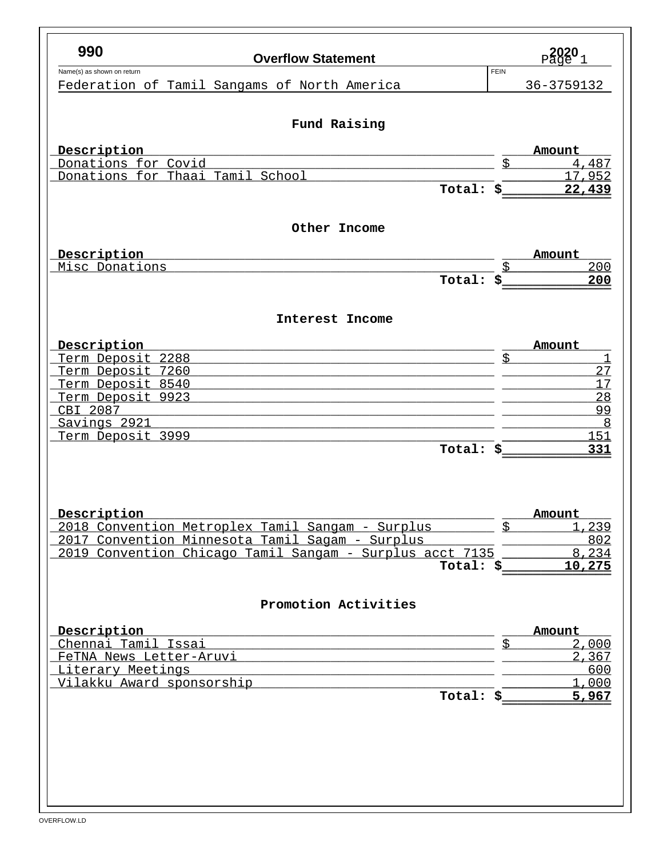| 990                                | <b>Overflow Statement</b>                                                                                                                                              |             | $_{\text{Page}}^{2020}$ 1                 |
|------------------------------------|------------------------------------------------------------------------------------------------------------------------------------------------------------------------|-------------|-------------------------------------------|
| Name(s) as shown on return         |                                                                                                                                                                        | <b>FEIN</b> |                                           |
|                                    | Federation of Tamil Sangams of North America                                                                                                                           |             | 36-3759132                                |
| Description<br>Donations for Covid | Fund Raising<br>Donations for Thaai Tamil School                                                                                                                       | $-$ \$ $-$  | Amount<br>4,487<br>17,952                 |
|                                    | Total: $$$                                                                                                                                                             |             | 22,439                                    |
|                                    |                                                                                                                                                                        |             |                                           |
|                                    | Other Income                                                                                                                                                           |             |                                           |
| Description                        |                                                                                                                                                                        |             | Amount                                    |
| Misc Donations                     |                                                                                                                                                                        |             | 200                                       |
|                                    | Total:                                                                                                                                                                 |             | 200                                       |
|                                    |                                                                                                                                                                        |             |                                           |
|                                    | Interest Income                                                                                                                                                        |             |                                           |
| Description                        |                                                                                                                                                                        |             | Amount                                    |
| Term Deposit 2288                  |                                                                                                                                                                        | \$          |                                           |
| Term Deposit 7260                  |                                                                                                                                                                        |             | 27                                        |
| Term Deposit 8540                  |                                                                                                                                                                        |             | 17                                        |
| Term Deposit 9923                  |                                                                                                                                                                        |             | 28                                        |
| CBI 2087                           |                                                                                                                                                                        |             | 99                                        |
| Savings 2921                       |                                                                                                                                                                        |             | 8                                         |
| Term Deposit 3999                  |                                                                                                                                                                        |             | 151                                       |
|                                    | Total: \$                                                                                                                                                              |             | 331                                       |
| Description                        | 2018 Convention Metroplex Tamil Sangam - Surplus 3<br>2017 Convention Minnesota Tamil Sagam - Surplus<br>2019 Convention Chicago Tamil Sangam - Surplus acct 7135 1111 |             | Amount<br>1,239<br>Total: $\frac{275}{ }$ |
|                                    | Promotion Activities                                                                                                                                                   |             |                                           |
| Description                        |                                                                                                                                                                        |             | Amount                                    |
| <u>Chennai Tamil Issai</u>         | <u>S</u>                                                                                                                                                               |             | 2,000                                     |
|                                    | FeTNA News Letter-Aruvi                                                                                                                                                |             | 2,367                                     |
| Literary Meetings                  |                                                                                                                                                                        |             | 600                                       |
|                                    | <u>Vilakku Award sponsorship</u>                                                                                                                                       |             | 1,000                                     |
|                                    | Total: $\frac{1}{2}$                                                                                                                                                   |             | 5,967                                     |
|                                    |                                                                                                                                                                        |             |                                           |
|                                    |                                                                                                                                                                        |             |                                           |
|                                    |                                                                                                                                                                        |             |                                           |
|                                    |                                                                                                                                                                        |             |                                           |
|                                    |                                                                                                                                                                        |             |                                           |
|                                    |                                                                                                                                                                        |             |                                           |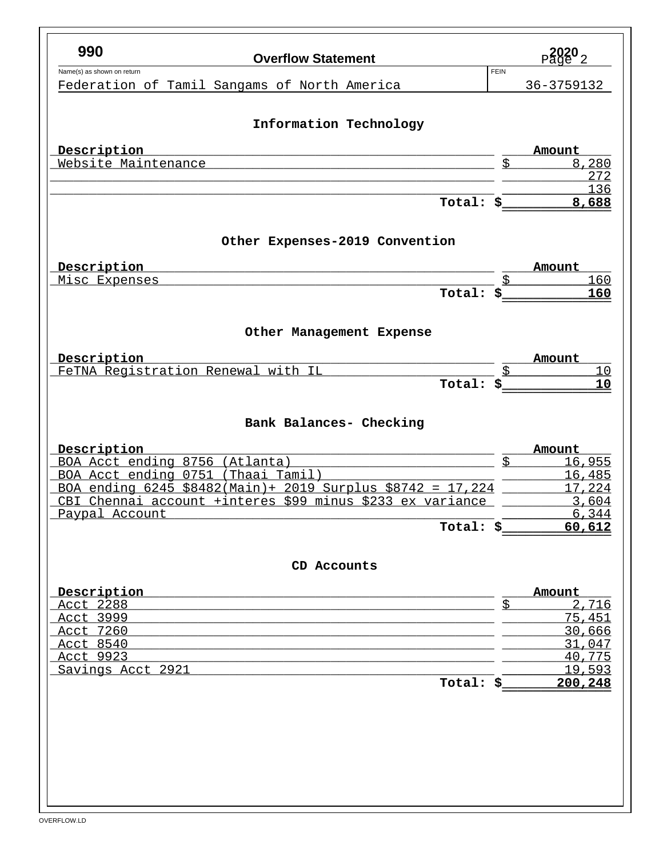| 990<br><b>Overflow Statement</b>                                                                                                                                                                                                                      | $_{\text{Page}}$ 2020 <sub>2</sub>                                |
|-------------------------------------------------------------------------------------------------------------------------------------------------------------------------------------------------------------------------------------------------------|-------------------------------------------------------------------|
| Name(s) as shown on return<br>Federation of Tamil Sangams of North America                                                                                                                                                                            | <b>FEIN</b><br>36-3759132                                         |
| Information Technology                                                                                                                                                                                                                                |                                                                   |
|                                                                                                                                                                                                                                                       | Amount                                                            |
| Website Maintenance Medicines and Strategy Strategy of Strategy Strategy Strategy Strategy Strategy Strategy S                                                                                                                                        | 8,280                                                             |
| $\overline{\phantom{a}272}$                                                                                                                                                                                                                           |                                                                   |
|                                                                                                                                                                                                                                                       | $\frac{136}{1}$<br>Total: \$ 8,688                                |
| Other Expenses-2019 Convention                                                                                                                                                                                                                        |                                                                   |
|                                                                                                                                                                                                                                                       |                                                                   |
|                                                                                                                                                                                                                                                       |                                                                   |
|                                                                                                                                                                                                                                                       |                                                                   |
| Other Management Expense<br>Examples <u>Description<br/>FeTNA Registration Renewal with IL Contract Control Contract Contract Contract Contract Contract Contract Cont<br/>Total: \$</u>                                                              |                                                                   |
|                                                                                                                                                                                                                                                       |                                                                   |
| Bank Balances- Checking<br>Description<br>BOA Acct ending 0751 (Thaai Tamil)<br>BOA ending 6245 \$8482(Main)+ 2019 Surplus \$8742 = 17,224 17,224<br>CBI Chennai account +interes \$99 minus \$233 ex variance _______ 3,604<br><u>Paypal Account</u> | Amount<br>16,955<br>$-16,485$<br>6,344                            |
|                                                                                                                                                                                                                                                       | 60,612<br>Total: $\frac{1}{2}$                                    |
| CD Accounts<br>Description<br>Acct 2288<br>Acct 3999<br>Acct 7260                                                                                                                                                                                     | <u>Amount</u><br>$\dot{\mathcal{Z}}$<br>2,716<br>75,451<br>30,666 |
| Acct 8540                                                                                                                                                                                                                                             | 31,047                                                            |
| Acct 9923                                                                                                                                                                                                                                             | 40,775                                                            |
| Savings Acct 2921                                                                                                                                                                                                                                     | 19,593                                                            |
|                                                                                                                                                                                                                                                       | Total: $\zeta$<br>200,248                                         |
|                                                                                                                                                                                                                                                       |                                                                   |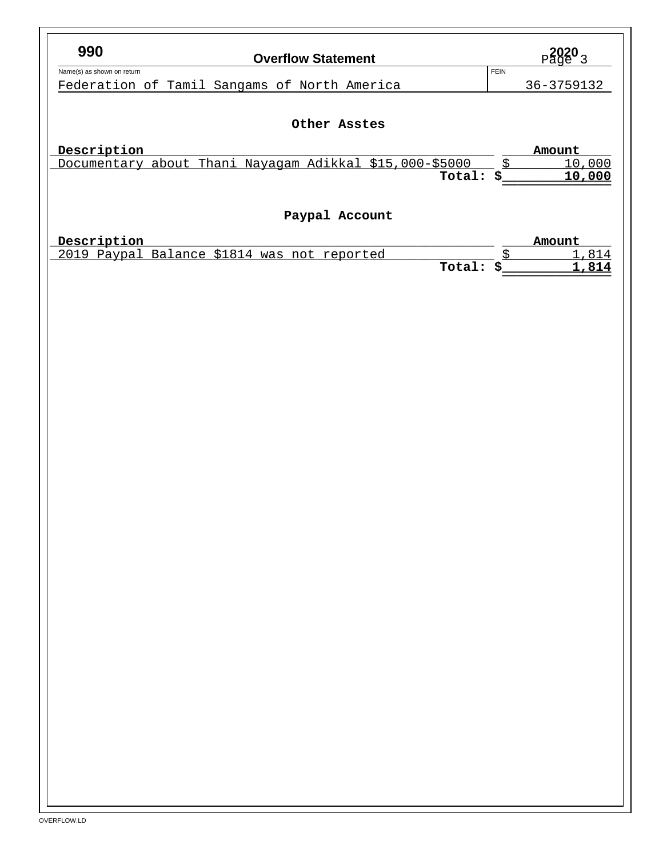| 990                        | <b>Overflow Statement</b>                               | $_{\text{Page}}^{2020}$ 3  |
|----------------------------|---------------------------------------------------------|----------------------------|
| Name(s) as shown on return |                                                         | <b>FEIN</b>                |
|                            | Federation of Tamil Sangams of North America            | 36-3759132                 |
|                            |                                                         |                            |
|                            | Other Asstes                                            |                            |
|                            |                                                         |                            |
| Description                | Documentary about Thani Nayagam Adikkal \$15,000-\$5000 | Amount<br>\$<br>10,000     |
|                            | Total:                                                  | \$.<br>10,000              |
|                            |                                                         |                            |
|                            | Paypal Account                                          |                            |
|                            |                                                         |                            |
| Description                |                                                         | Amount                     |
|                            | 2019 Paypal Balance \$1814 was not reported<br>Total:   | \$<br>1,814<br>\$<br>1,814 |
|                            |                                                         |                            |
|                            |                                                         |                            |
|                            |                                                         |                            |
|                            |                                                         |                            |
|                            |                                                         |                            |
|                            |                                                         |                            |
|                            |                                                         |                            |
|                            |                                                         |                            |
|                            |                                                         |                            |
|                            |                                                         |                            |
|                            |                                                         |                            |
|                            |                                                         |                            |
|                            |                                                         |                            |
|                            |                                                         |                            |
|                            |                                                         |                            |
|                            |                                                         |                            |
|                            |                                                         |                            |
|                            |                                                         |                            |
|                            |                                                         |                            |
|                            |                                                         |                            |
|                            |                                                         |                            |
|                            |                                                         |                            |
|                            |                                                         |                            |
|                            |                                                         |                            |
|                            |                                                         |                            |
|                            |                                                         |                            |
|                            |                                                         |                            |
|                            |                                                         |                            |
|                            |                                                         |                            |
|                            |                                                         |                            |
|                            |                                                         |                            |
|                            |                                                         |                            |

Г